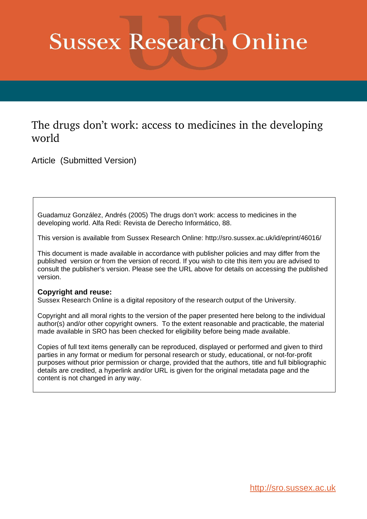# **Sussex Research Online**

## The drugs don't work: access to medicines in the developing world

Article (Submitted Version)

Guadamuz González, Andrés (2005) The drugs don't work: access to medicines in the developing world. Alfa Redi: Revista de Derecho Informático, 88.

This version is available from Sussex Research Online: http://sro.sussex.ac.uk/id/eprint/46016/

This document is made available in accordance with publisher policies and may differ from the published version or from the version of record. If you wish to cite this item you are advised to consult the publisher's version. Please see the URL above for details on accessing the published version.

#### **Copyright and reuse:**

Sussex Research Online is a digital repository of the research output of the University.

Copyright and all moral rights to the version of the paper presented here belong to the individual author(s) and/or other copyright owners. To the extent reasonable and practicable, the material made available in SRO has been checked for eligibility before being made available.

Copies of full text items generally can be reproduced, displayed or performed and given to third parties in any format or medium for personal research or study, educational, or not-for-profit purposes without prior permission or charge, provided that the authors, title and full bibliographic details are credited, a hyperlink and/or URL is given for the original metadata page and the content is not changed in any way.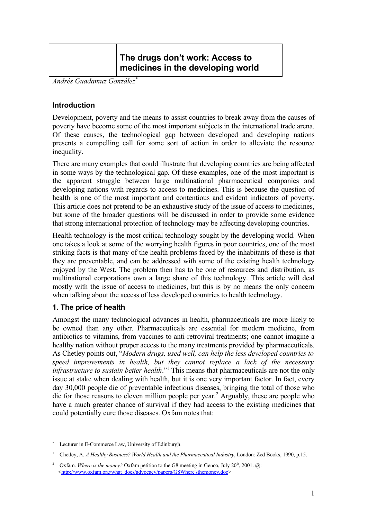### **The drugs don't work: Access to medicines in the developing world**

*Andrés Guadamuz González [\\*](#page-1-0)*

#### **Introduction**

Development, poverty and the means to assist countries to break away from the causes of poverty have become some of the most important subjects in the international trade arena. Of these causes, the technological gap between developed and developing nations presents a compelling call for some sort of action in order to alleviate the resource inequality.

There are many examples that could illustrate that developing countries are being affected in some ways by the technological gap. Of these examples, one of the most important is the apparent struggle between large multinational pharmaceutical companies and developing nations with regards to access to medicines. This is because the question of health is one of the most important and contentious and evident indicators of poverty. This article does not pretend to be an exhaustive study of the issue of access to medicines, but some of the broader questions will be discussed in order to provide some evidence that strong international protection of technology may be affecting developing countries.

Health technology is the most critical technology sought by the developing world. When one takes a look at some of the worrying health figures in poor countries, one of the most striking facts is that many of the health problems faced by the inhabitants of these is that they are preventable, and can be addressed with some of the existing health technology enjoyed by the West. The problem then has to be one of resources and distribution, as multinational corporations own a large share of this technology. This article will deal mostly with the issue of access to medicines, but this is by no means the only concern when talking about the access of less developed countries to health technology.

#### **1. The price of health**

Amongst the many technological advances in health, pharmaceuticals are more likely to be owned than any other. Pharmaceuticals are essential for modern medicine, from antibiotics to vitamins, from vaccines to anti-retroviral treatments; one cannot imagine a healthy nation without proper access to the many treatments provided by pharmaceuticals. As Chetley points out, "*Modern drugs, used well, can help the less developed countries to speed improvements in health, but they cannot replace a lack of the necessary infrastructure to sustain better health*." [1](#page-1-1) This means that pharmaceuticals are not the only issue at stake when dealing with health, but it is one very important factor. In fact, every day 30,000 people die of preventable infectious diseases, bringing the total of those who die for those reasons to eleven million people per year. [2](#page-1-2) Arguably, these are people who have a much greater chance of survival if they had access to the existing medicines that could potentially cure those diseases. Oxfam notes that:

<span id="page-1-0"></span>Lecturer in E-Commerce Law, University of Edinburgh.

<span id="page-1-1"></span><sup>1</sup> Chetley, A. *A Healthy Business? World Health and the Pharmaceutical Industry*, London: Zed Books, 1990, p.15.

<span id="page-1-2"></span><sup>&</sup>lt;sup>2</sup> Oxfam. *Where is the money?* Oxfam petition to the G8 meeting in Genoa, July 20<sup>th</sup>, 2001. @: <[http://www.oxfam.org/what\\_does/advocacy/papers/G8Where'sthemoney.doc](http://www.oxfam.org/what_does/advocacy/papers/G8Where)>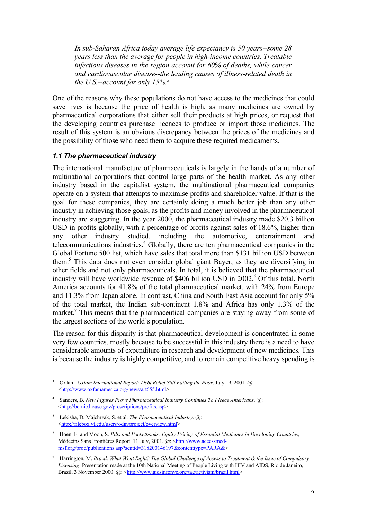*In sub-Saharan Africa today average life expectancy is 50 years--some 28 years less than the average for people in high-income countries. Treatable infectious diseases in the region account for 60% of deaths, while cancer and cardiovascular disease--the leading causes of illness-related death in the U.S.--account for only 15%. [3](#page-2-0)*

One of the reasons why these populations do not have access to the medicines that could save lives is because the price of health is high, as many medicines are owned by pharmaceutical corporations that either sell their products at high prices, or request that the developing countries purchase licences to produce or import those medicines. The result of this system is an obvious discrepancy between the prices of the medicines and the possibility of those who need them to acquire these required medicaments.

#### *1.1 The pharmaceutical industry*

The international manufacture of pharmaceuticals is largely in the hands of a number of multinational corporations that control large parts of the health market. As any other industry based in the capitalist system, the multinational pharmaceutical companies operate on a system that attempts to maximise profits and shareholder value. If that is the goal for these companies, they are certainly doing a much better job than any other industry in achieving those goals, as the profits and money involved in the pharmaceutical industry are staggering. In the year 2000, the pharmaceutical industry made \$20.3 billion USD in profits globally, with a percentage of profits against sales of 18.6%, higher than any other industry studied, including the automotive, entertainment and telecommunications industries. [4](#page-2-1) Globally, there are ten pharmaceutical companies in the Global Fortune 500 list, which have sales that total more than \$131 billion USD between them. [5](#page-2-2) This data does not even consider global giant Bayer, as they are diversifying in other fields and not only pharmaceuticals. In total, it is believed that the pharmaceutical industry will have worldwide revenue of \$406 billion USD in 2002. [6](#page-2-3) Of this total, North America accounts for 41.8% of the total pharmaceutical market, with 24% from Europe and 11.3% from Japan alone. In contrast, China and South East Asia account for only 5% of the total market, the Indian sub-continent 1.8% and Africa has only 1.3% of the market.<sup>[7](#page-2-4)</sup> This means that the pharmaceutical companies are staying away from some of the largest sections of the world's population.

The reason for this disparity is that pharmaceutical development is concentrated in some very few countries, mostly because to be successful in this industry there is a need to have considerable amounts of expenditure in research and development of new medicines. This is because the industry is highly competitive, and to remain competitive heavy spending is

<span id="page-2-0"></span><sup>3</sup> Oxfam. *Oxfam International Report: Debt Relief Still Failing the Poor*. July 19, 2001. @: <[http://www.oxfamamerica.org/news/art655.html>](http://www.oxfamamerica.org/news/art655.html)

<span id="page-2-1"></span><sup>4</sup> Sanders, B. *New Figures Prove Pharmaceutical Industry Continues To Fleece Americans*. @: <[http://bernie.house.gov/prescriptions/profits.asp>](http://bernie.house.gov/prescriptions/profits.asp)

<span id="page-2-2"></span><sup>5</sup> Lekisha, D, Majchrzak, S. et al. *The Pharmaceutical Industry*. @: <[http://filebox.vt.edu/users/odin/project/overview.html>](http://filebox.vt.edu/users/odin/project/overview.html)

<span id="page-2-3"></span><sup>6</sup> Hoen, E. and Moon, S. *Pills and Pocketbooks: Equity Pricing of Essential Medicines in Developing Countries*, Médecins Sans Frontières Report, 11 July, 2001. @: <[http://www.accessmed](http://www.accessmed-msf.org/prod/publications.asp?scntid=318200146197&contenttype=PARA&)[msf.org/prod/publications.asp?scntid=318200146197&contenttype=PARA&>](http://www.accessmed-msf.org/prod/publications.asp?scntid=318200146197&contenttype=PARA&)

<span id="page-2-4"></span><sup>7</sup> Harrington, M. *Brazil: What Went Right? The Global Challenge of Access to Treatment & the Issue of Compulsory Licensing*. Presentation made at the 10th National Meeting of People Living with HIV and AIDS, Rio de Janeiro, Brazil, 3 November 2000. @: <<http://www.aidsinfonyc.org/tag/activism/brazil.html>>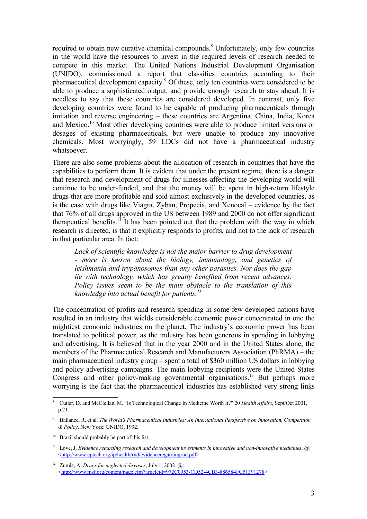required to obtain new curative chemical compounds. [8](#page-3-0) Unfortunately, only few countries in the world have the resources to invest in the required levels of research needed to compete in this market. The United Nations Industrial Development Organisation (UNIDO), commissioned a report that classifies countries according to their pharmaceutical development capacity. [9](#page-3-1) Of these, only ten countries were considered to be able to produce a sophisticated output, and provide enough research to stay ahead. It is needless to say that these countries are considered developed. In contrast, only five developing countries were found to be capable of producing pharmaceuticals through imitation and reverse engineering – these countries are Argentina, China, India, Korea and Mexico. [10](#page-3-2) Most other developing countries were able to produce limited versions or dosages of existing pharmaceuticals, but were unable to produce any innovative chemicals. Most worryingly, 59 LDCs did not have a pharmaceutical industry whatsoever.

There are also some problems about the allocation of research in countries that have the capabilities to perform them. It is evident that under the present regime, there is a danger that research and development of drugs for illnesses affecting the developing world will continue to be under-funded, and that the money will be spent in high-return lifestyle drugs that are more profitable and sold almost exclusively in the developed countries, as is the case with drugs like Viagra, Zyban, Propecia, and Xenocal – evidence by the fact that 76% of all drugs approved in the US between 1989 and 2000 do not offer significant therapeutical benefits.<sup>[11](#page-3-3)</sup> It has been pointed out that the problem with the way in which research is directed, is that it explicitly responds to profits, and not to the lack of research in that particular area. In fact:

*Lack of scientific knowledge is not the major barrier to drug development - more is known about the biology, immunology, and genetics of leishmania and trypanosomes than any other parasites. Nor does the gap lie with technology, which has greatly benefited from recent advances. Policy issues seem to be the main obstacle to the translation of this knowledge into actual benefit for patients. [12](#page-3-4)*

The concentration of profits and research spending in some few developed nations have resulted in an industry that wields considerable economic power concentrated in one the mightiest economic industries on the planet. The industry's economic power has been translated to political power, as the industry has been generous in spending in lobbying and advertising. It is believed that in the year 2000 and in the United States alone, the members of the Pharmaceutical Research and Manufacturers Association (PhRMA) – the main pharmaceutical industry group – spent a total of \$360 million US dollars in lobbying and policy advertising campaigns. The main lobbying recipients were the United States Congress and other policy-making governmental organisations.<sup>[13](#page-4-0)</sup> But perhaps more worrying is the fact that the pharmaceutical industries has established very strong links

<span id="page-3-0"></span><sup>8</sup> Cutler, D. and McClellan, M. "Is Technological Change In Medicine Worth It?" 20 *Health Affairs*, Sept/Oct 2001, p.21.

<span id="page-3-1"></span><sup>9</sup> Ballance, R. et al. *The World's Pharmaceutical Industries: An International Perspective on Innovation, Competition & Policy*, New York: UNIDO, 1992.

<span id="page-3-2"></span><sup>&</sup>lt;sup>10</sup> Brazil should probably be part of this list.

<span id="page-3-3"></span><sup>11</sup> Love, J. *Evidence regarding research and development investments in innovative and non-innovative medicines*. @: <<http://www.cptech.org/ip/health/rnd/evidenceregardingrnd.pdf>>

<span id="page-3-4"></span><sup>12</sup> Zumla, A. *Drugs for neglected diseases*, July 1, 2002. @: <[http://www.msf.org/content/page.cfm?articleid=972C0953-CD52-4CB3-886584FC51391278>](http://www.msf.org/content/page.cfm?articleid=972C0953-CD52-4CB3-886584FC51391278)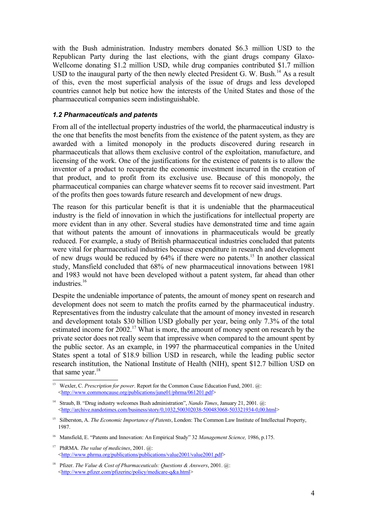with the Bush administration. Industry members donated \$6.3 million USD to the Republican Party during the last elections, with the giant drugs company Glaxo-Wellcome donating \$1.2 million USD, while drug companies contributed \$1.7 million USD to the inaugural party of the then newly elected President G. W. Bush.<sup>[14](#page-4-1)</sup> As a result of this, even the most superficial analysis of the issue of drugs and less developed countries cannot help but notice how the interests of the United States and those of the pharmaceutical companies seem indistinguishable.

#### *1.2 Pharmaceuticals and patents*

From all of the intellectual property industries of the world, the pharmaceutical industry is the one that benefits the most benefits from the existence of the patent system, as they are awarded with a limited monopoly in the products discovered during research in pharmaceuticals that allows them exclusive control of the exploitation, manufacture, and licensing of the work. One of the justifications for the existence of patents is to allow the inventor of a product to recuperate the economic investment incurred in the creation of that product, and to profit from its exclusive use. Because of this monopoly, the pharmaceutical companies can charge whatever seems fit to recover said investment. Part of the profits then goes towards future research and development of new drugs.

The reason for this particular benefit is that it is undeniable that the pharmaceutical industry is the field of innovation in which the justifications for intellectual property are more evident than in any other. Several studies have demonstrated time and time again that without patents the amount of innovations in pharmaceuticals would be greatly reduced. For example, a study of British pharmaceutical industries concluded that patents were vital for pharmaceutical industries because expenditure in research and development of new drugs would be reduced by 64% if there were no patents.<sup>[15](#page-4-2)</sup> In another classical study, Mansfield concluded that 68% of new pharmaceutical innovations between 1981 and 1983 would not have been developed without a patent system, far ahead than other industries. [16](#page-4-3)

Despite the undeniable importance of patents, the amount of money spent on research and development does not seem to match the profits earned by the pharmaceutical industry. Representatives from the industry calculate that the amount of money invested in research and development totals \$30 billion USD globally per year, being only 7.3% of the total estimated income for 2002.<sup>[17](#page-4-4)</sup> What is more, the amount of money spent on research by the private sector does not really seem that impressive when compared to the amount spent by the public sector. As an example, in 1997 the pharmaceutical companies in the United States spent a total of \$18.9 billion USD in research, while the leading public sector research institution, the National Institute of Health (NIH), spent \$12.7 billion USD on that same year.<sup>[18](#page-4-5)</sup>

<span id="page-4-0"></span><sup>13</sup> Wexler, C. *Prescription for power*. Report for the Common Cause Education Fund, 2001. @: <<http://www.commoncause.org/publications/june01/phrma/061201.pdf>>

<span id="page-4-1"></span><sup>14</sup> Straub, B. "Drug industry welcomes Bush administration", *Nando Times*, January 21, 2001. @: <<http://archive.nandotimes.com/business/story/0,1032,500302038-500483068-503321934-0,00.html>>

<span id="page-4-2"></span><sup>15</sup> Silberston, A. *The Economic Importance of Patents*, London: The Common Law Institute of Intellectual Property, 1987.

<span id="page-4-3"></span><sup>16</sup> Mansfield, E. "Patents and Innovation: An Empirical Study" 32 *Management Science,* 1986, p.175.

<span id="page-4-4"></span><sup>17</sup> PhRMA. *The value of medicines*, 2001. @: <<http://www.phrma.org/publications/publications/value2001/value2001.pdf>>

<span id="page-4-5"></span><sup>18</sup> Pfizer. *The Value & Cost of Pharmaceuticals: Questions & Answers*, 2001. @: <<http://www.pfizer.com/pfizerinc/policy/medicare-q&a.html>>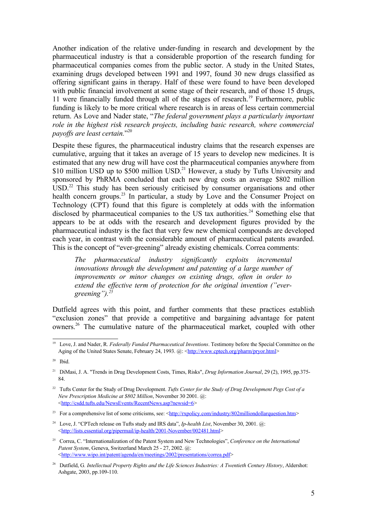Another indication of the relative under-funding in research and development by the pharmaceutical industry is that a considerable proportion of the research funding for pharmaceutical companies comes from the public sector. A study in the United States, examining drugs developed between 1991 and 1997, found 30 new drugs classified as offering significant gains in therapy. Half of these were found to have been developed with public financial involvement at some stage of their research, and of those 15 drugs, 11 were financially funded through all of the stages of research. [19](#page-5-0) Furthermore, public funding is likely to be more critical where research is in areas of less certain commercial return. As Love and Nader state, "*The federal government plays a particularly important role in the highest risk research projects, including basic research, where commercial payoffs are least certain.*" [20](#page-5-1)

Despite these figures, the pharmaceutical industry claims that the research expenses are cumulative, arguing that it takes an average of 15 years to develop new medicines. It is estimated that any new drug will have cost the pharmaceutical companies anywhere from \$10 million USD up to \$500 million USD.<sup>[21](#page-5-2)</sup> However, a study by Tufts University and sponsored by PhRMA concluded that each new drug costs an average \$802 million USD.<sup>[22](#page-5-3)</sup> This study has been seriously criticised by consumer organisations and other health concern groups.<sup>[23](#page-5-4)</sup> In particular, a study by Love and the Consumer Project on Technology (CPT) found that this figure is completely at odds with the information disclosed by pharmaceutical companies to the US tax authorities.<sup>[24](#page-5-5)</sup> Something else that appears to be at odds with the research and development figures provided by the pharmaceutical industry is the fact that very few new chemical compounds are developed each year, in contrast with the considerable amount of pharmaceutical patents awarded. This is the concept of "ever-greening" already existing chemicals. Correa comments:

*The pharmaceutical industry significantly exploits incremental innovations through the development and patenting of a large number of improvements or minor changes on existing drugs, often in order to extend the effective term of protection for the original invention ("evergreening"). [25](#page-5-6)*

Dutfield agrees with this point, and further comments that these practices establish "exclusion zones" that provide a competitive and bargaining advantage for patent owners. [26](#page-5-7) The cumulative nature of the pharmaceutical market, coupled with other

<span id="page-5-0"></span><sup>19</sup> Love, J. and Nader, R. *Federally Funded Pharmaceutical Inventions*. Testimony before the Special Committee on the Aging of the United States Senate, February 24, 1993. @: [<http://www.cptech.org/pharm/pryor.html>](http://www.cptech.org/pharm/pryor.html)

<span id="page-5-1"></span><sup>20</sup> Ibid.

<span id="page-5-2"></span><sup>21</sup> DiMasi, J. A. "Trends in Drug Development Costs, Times, Risks", *Drug Information Journal*, 29 (2), 1995, pp.375- 84.

<span id="page-5-3"></span><sup>22</sup> Tufts Center for the Study of Drug Development. *Tufts Center for the Study of Drug Development Pegs Cost of a New Prescription Medicine at \$802 Million*, November 30 2001. @: <<http://csdd.tufts.edu/NewsEvents/RecentNews.asp?newsid=6>>

<span id="page-5-4"></span><sup>&</sup>lt;sup>23</sup> For a comprehensive list of some criticisms, see:  $\frac{\text{http://rxpolicy.com/industry/802milliondollarquestion.htm>}}{\text{http://rxpolicy.com/industry/802milliondollarquestion.htm>}}$ 

<span id="page-5-5"></span><sup>&</sup>lt;sup>24</sup> Love, J. "CPTech release on Tufts study and IRS data", *Ip-health List*, November 30, 2001. @: <<http://lists.essential.org/pipermail/ip-health/2001-November/002481.html>>

<span id="page-5-6"></span><sup>25</sup> Correa, C. "Internationalization of the Patent System and New Technologies", *Conference on the International Patent System*, Geneva, Switzerland March 25 - 27, 2002. @: <<http://www.wipo.int/patent/agenda/en/meetings/2002/presentations/correa.pdf>>

<span id="page-5-7"></span><sup>26</sup> Dutfield, G*. Intellectual Property Rights and the Life Sciences Industries: A Twentieth Century History*, Aldershot: Ashgate, 2003, pp.109-110.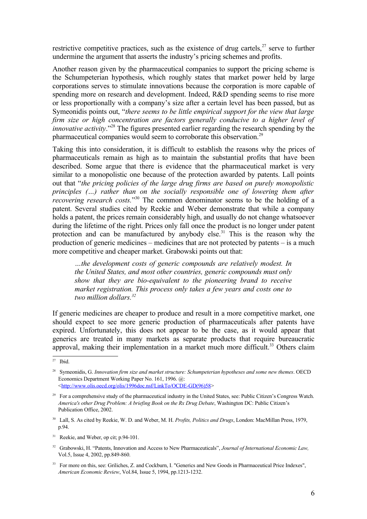restrictive competitive practices, such as the existence of drug cartels, $27$  serve to further undermine the argument that asserts the industry's pricing schemes and profits.

Another reason given by the pharmaceutical companies to support the pricing scheme is the Schumpeterian hypothesis, which roughly states that market power held by large corporations serves to stimulate innovations because the corporation is more capable of spending more on research and development. Indeed, R&D spending seems to rise more or less proportionally with a company's size after a certain level has been passed, but as Symeonidis points out, "*there seems to be little empirical support for the view that large firm size or high concentration are factors generally conducive to a higher level of innovative activity*."<sup>[28](#page-6-1)</sup> The figures presented earlier regarding the research spending by the pharmaceutical companies would seem to corroborate this observation.<sup>[29](#page-6-2)</sup>

Taking this into consideration, it is difficult to establish the reasons why the prices of pharmaceuticals remain as high as to maintain the substantial profits that have been described. Some argue that there is evidence that the pharmaceutical market is very similar to a monopolistic one because of the protection awarded by patents. Lall points out that "*the pricing policies of the large drug firms are based on purely monopolistic principles (…) rather than on the socially responsible one of lowering them after recovering research costs.*" [30](#page-6-3) The common denominator seems to be the holding of a patent. Several studies cited by Reekie and Weber demonstrate that while a company holds a patent, the prices remain considerably high, and usually do not change whatsoever during the lifetime of the right. Prices only fall once the product is no longer under patent protection and can be manufactured by anybody else.<sup>[31](#page-6-4)</sup> This is the reason why the production of generic medicines – medicines that are not protected by patents – is a much more competitive and cheaper market. Grabowski points out that:

*…the development costs of generic compounds are relatively modest. In the United States, and most other countries, generic compounds must only show that they are bio-equivalent to the pioneering brand to receive market registration. This process only takes a few years and costs one to two million dollars. [32](#page-6-5)*

If generic medicines are cheaper to produce and result in a more competitive market, one should expect to see more generic production of pharmaceuticals after patents have expired. Unfortunately, this does not appear to be the case, as it would appear that generics are treated in many markets as separate products that require bureaucratic approval, making their implementation in a market much more difficult.<sup>[33](#page-6-6)</sup> Others claim

<span id="page-6-0"></span><sup>27</sup> Ibid.

<span id="page-6-1"></span><sup>28</sup> Symeonidis, G. *Innovation firm size and market structure: Schumpeterian hypotheses and some new themes*. OECD Economics Department Working Paper No. 161, 1996. @: <[http://www.olis.oecd.org/olis/1996doc.nsf/LinkTo/OCDE-GD\(96\)58>](http://www.olis.oecd.org/olis/1996doc.nsf/LinkTo/OCDE-GD(96)58)

<span id="page-6-2"></span><sup>&</sup>lt;sup>29</sup> For a comprehensive study of the pharmaceutical industry in the United States, see: Public Citizen's Congress Watch. *America's other Drug Problem: A briefing Book on the Rx Drug Debate*, Washington DC: Public Citizen's Publication Office, 2002.

<span id="page-6-3"></span><sup>30</sup> Lall, S. As cited by Reekie, W. D. and Weber, M. H. *Profits, Politics and Drugs*, London: MacMillan Press, 1979, p.94.

<span id="page-6-4"></span><sup>&</sup>lt;sup>31</sup> Reekie, and Weber, op cit; p.94-101.

<span id="page-6-5"></span><sup>32</sup> Grabowski, H. "Patents, Innovation and Access to New Pharmaceuticals", *Journal of International Economic Law,* Vol.5, Issue 4, 2002, pp.849-860.

<span id="page-6-6"></span><sup>33</sup> For more on this, see: Griliches, Z. and Cockburn, I. "Generics and New Goods in Pharmaceutical Price Indexes", *American Economic Review*, Vol.84, Issue 5, 1994, pp.1213-1232.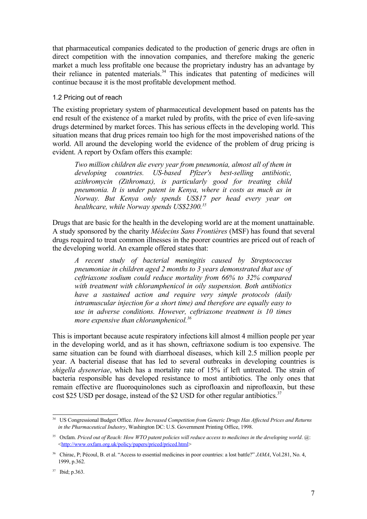that pharmaceutical companies dedicated to the production of generic drugs are often in direct competition with the innovation companies, and therefore making the generic market a much less profitable one because the proprietary industry has an advantage by their reliance in patented materials. [34](#page-7-0) This indicates that patenting of medicines will continue because it is the most profitable development method.

#### 1.2 Pricing out of reach

The existing proprietary system of pharmaceutical development based on patents has the end result of the existence of a market ruled by profits, with the price of even life-saving drugs determined by market forces. This has serious effects in the developing world. This situation means that drug prices remain too high for the most impoverished nations of the world. All around the developing world the evidence of the problem of drug pricing is evident. A report by Oxfam offers this example:

*Two million children die every year from pneumonia, almost all of them in developing countries. US-based Pfizer's best-selling antibiotic, azithromycin (Zithromax), is particularly good for treating child pneumonia. It is under patent in Kenya, where it costs as much as in Norway. But Kenya only spends US\$17 per head every year on healthcare, while Norway spends US\$2300. [35](#page-7-1)*

Drugs that are basic for the health in the developing world are at the moment unattainable. A study sponsored by the charity *Médecins Sans Frontières* (MSF) has found that several drugs required to treat common illnesses in the poorer countries are priced out of reach of the developing world. An example offered states that:

*A recent study of bacterial meningitis caused by Streptococcus pneumoniae in children aged 2 months to 3 years demonstrated that use of ceftriaxone sodium could reduce mortality from 66% to 32% compared with treatment with chloramphenicol in oily suspension. Both antibiotics have a sustained action and require very simple protocols (daily intramuscular injection for a short time) and therefore are equally easy to use in adverse conditions. However, ceftriaxone treatment is 10 times more expensive than chloramphenicol. [36](#page-7-2)*

This is important because acute respiratory infections kill almost 4 million people per year in the developing world, and as it has shown, ceftriaxone sodium is too expensive. The same situation can be found with diarrhoeal diseases, which kill 2.5 million people per year. A bacterial disease that has led to several outbreaks in developing countries is *shigella dyseneriae*, which has a mortality rate of 15% if left untreated. The strain of bacteria responsible has developed resistance to most antibiotics. The only ones that remain effective are fluoroquinolones such as ciprofloaxin and niprofloaxin, but these cost \$25 USD per dosage, instead of the \$2 USD for other regular antibiotics.<sup>[37](#page-7-3)</sup>

<span id="page-7-0"></span><sup>34</sup> US Congressional Budget Office. *How Increased Competition from Generic Drugs Has Affected Prices and Returns in the Pharmaceutical Industry*, Washington DC: U.S. Government Printing Office, 1998.

<span id="page-7-1"></span><sup>&</sup>lt;sup>35</sup> Oxfam. Priced out of Reach: How WTO patent policies will reduce access to medicines in the developing world. @: <[http://www.oxfam.org.uk/policy/papers/priced/priced.html>](http://www.oxfam.org.uk/policy/papers/priced/priced.html)

<span id="page-7-2"></span><sup>&</sup>lt;sup>36</sup> Chirac, P; Pécoul, B. et al. "Access to essential medicines in poor countries: a lost battle?" *JAMA*, Vol.281, No. 4, 1999, p.362.

<span id="page-7-3"></span><sup>37</sup> Ibid; p.363.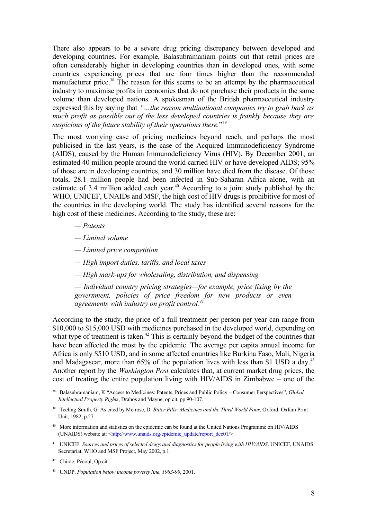There also appears to be a severe drug pricing discrepancy between developed and developing countries. For example, Balasubramaniam points out that retail prices are often considerably higher in developing countries than in developed ones, with some countries experiencing prices that are four times higher than the recommended manufacturer price.<sup>[38](#page-8-0)</sup> The reason for this seems to be an attempt by the pharmaceutical industry to maximise profits in economies that do not purchase their products in the same volume than developed nations. A spokesman of the British pharmaceutical industry expressed this by saying that *"…the reason multinational companies try to grab back as much profit as possible out of the less developed countries is frankly because they are suspicious of the future stability of their operations there.*" [39](#page-8-1)

The most worrying case of pricing medicines beyond reach, and perhaps the most publicised in the last years, is the case of the Acquired Immunodeficiency Syndrome (AIDS), caused by the Human Immunodeficiency Virus (HIV). By December 2001, an estimated 40 million people around the world carried HIV or have developed AIDS; 95% of those are in developing countries, and 30 million have died from the disease. Of those totals, 28.1 million people had been infected in Sub-Saharan Africa alone, with an estimate of 3.4 million added each year.<sup>[40](#page-8-2)</sup> According to a joint study published by the WHO, UNICEF, UNAIDs and MSF, the high cost of HIV drugs is prohibitive for most of the countries in the developing world. The study has identified several reasons for the high cost of these medicines. According to the study, these are:

- *— Patents*
- *— Limited volume*
- *— Limited price competition*
- *— High import duties, tariffs, and local taxes*
- *— High mark-ups for wholesaling, distribution, and dispensing*

*— Individual country pricing strategies—for example, price fixing by the government, policies of price freedom for new products or even agreements with industry on profit control. [41](#page-8-3)*

According to the study, the price of a full treatment per person per year can range from \$10,000 to \$15,000 USD with medicines purchased in the developed world, depending on what type of treatment is taken. $42$  This is certainly beyond the budget of the countries that have been affected the most by the epidemic. The average per capita annual income for Africa is only \$510 USD, and in some affected countries like Burkina Faso, Mali, Nigeria and Madagascar, more than 65% of the population lives with less than \$1 USD a day.<sup>[43](#page-8-5)</sup> Another report by the *Washington Post* calculates that, at current market drug prices, the cost of treating the entire population living with HIV/AIDS in Zimbabwe – one of the

<span id="page-8-0"></span><sup>38</sup> Balasubramaniam, K "Access to Medicines: Patents, Prices and Public Policy – Consumer Perspectives", *Global Intellectual Property Rights*, Drahos and Mayne, op cit, pp.90-107.

<span id="page-8-1"></span><sup>39</sup> Teeling-Smith, G. As cited by Melrose, D. *Bitter Pills: Medicines and the Third World Poor*, Oxford: Oxfam Print Unit, 1982, p.27.

<span id="page-8-2"></span><sup>&</sup>lt;sup>40</sup> More information and statistics on the epidemic can be found at the United Nations Programme on HIV/AIDS (UNAIDS) website at: <[http://www.unaids.org/epidemic\\_update/report\\_dec01/](http://www.unaids.org/epidemic_update/report_dec01/)>

<span id="page-8-3"></span><sup>41</sup> UNICEF. *Sources and prices of selected drugs and diagnostics for people living with HIV/AIDS*. UNICEF, UNAIDS Secretariat, WHO and MSF Project, May 2002, p.1.

<span id="page-8-4"></span><sup>42</sup> Chirac; Pécoul, Op cit.

<span id="page-8-5"></span><sup>43</sup> UNDP. *Population below income poverty line, 1983-99*, 2001.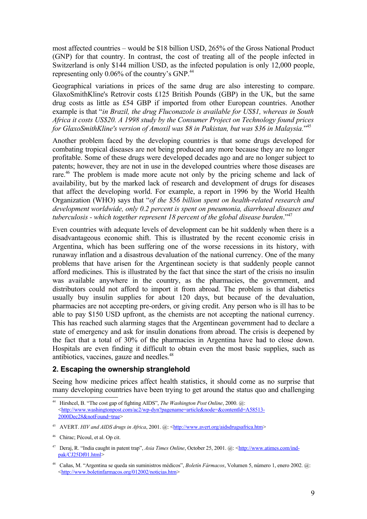most affected countries – would be \$18 billion USD, 265% of the Gross National Product (GNP) for that country. In contrast, the cost of treating all of the people infected in Switzerland is only \$144 million USD, as the infected population is only 12,000 people, representing only 0.06% of the country's GNP.<sup>[44](#page-9-0)</sup>

Geographical variations in prices of the same drug are also interesting to compare. GlaxoSmithKline's Retrovir costs £125 British Pounds (GBP) in the UK, but the same drug costs as little as £54 GBP if imported from other European countries. Another example is that "*in Brazil, the drug Fluconazole is available for US\$1, whereas in South Africa it costs US\$20. A 1998 study by the Consumer Project on Technology found prices for GlaxoSmithKline's version of Amoxil was \$8 in Pakistan, but was \$36 in Malaysia.*" [45](#page-9-1)

Another problem faced by the developing countries is that some drugs developed for combating tropical diseases are not being produced any more because they are no longer profitable. Some of these drugs were developed decades ago and are no longer subject to patents; however, they are not in use in the developed countries where those diseases are rare.<sup>[46](#page-9-2)</sup> The problem is made more acute not only by the pricing scheme and lack of availability, but by the marked lack of research and development of drugs for diseases that affect the developing world. For example, a report in 1996 by the World Health Organization (WHO) says that "*of the \$56 billion spent on health-related research and development worldwide, only 0.2 percent is spent on pneumonia, diarrhoeal diseases and tuberculosis - which together represent 18 percent of the global disease burden*." [47](#page-9-3)

Even countries with adequate levels of development can be hit suddenly when there is a disadvantageous economic shift. This is illustrated by the recent economic crisis in Argentina, which has been suffering one of the worse recessions in its history, with runaway inflation and a disastrous devaluation of the national currency. One of the many problems that have arisen for the Argentinean society is that suddenly people cannot afford medicines. This is illustrated by the fact that since the start of the crisis no insulin was available anywhere in the country, as the pharmacies, the government, and distributors could not afford to import it from abroad. The problem is that diabetics usually buy insulin supplies for about 120 days, but because of the devaluation, pharmacies are not accepting pre-orders, or giving credit. Any person who is ill has to be able to pay \$150 USD upfront, as the chemists are not accepting the national currency. This has reached such alarming stages that the Argentinean government had to declare a state of emergency and ask for insulin donations from abroad. The crisis is deepened by the fact that a total of 30% of the pharmacies in Argentina have had to close down. Hospitals are even finding it difficult to obtain even the most basic supplies, such as antibiotics, vaccines, gauze and needles. [48](#page-9-4)

#### **2. Escaping the ownership stranglehold**

Seeing how medicine prices affect health statistics, it should come as no surprise that many developing countries have been trying to get around the status quo and challenging

<span id="page-9-0"></span><sup>44</sup> Hirshcel, B. "The cost gap of fighting AIDS", *The Washington Post Online*, 2000. @: <[http://www.washingtonpost.com/ac2/wp-dyn?pagename=article&node=&contentId=A58513-](http://www.washingtonpost.com/ac2/wp-dyn?pagename=article&node=&contentId=A58513-2000Dec28¬Found=true) [2000Dec28&notFound=true](http://www.washingtonpost.com/ac2/wp-dyn?pagename=article&node=&contentId=A58513-2000Dec28¬Found=true)>

<span id="page-9-1"></span><sup>45</sup> AVERT. *HIV and AIDS drugs in Africa*, 2001. @: [<http://www.avert.org/aidsdrugsafrica.htm](http://www.avert.org/aidsdrugsafrica.htm)>

<span id="page-9-2"></span><sup>46</sup> Chirac; Pécoul, et al. Op cit.

<span id="page-9-3"></span><sup>47</sup> Deraj, R. "India caught in patent trap", *Asia Times Online*, October 25, 2001. @: <[http://www.atimes.com/ind](http://www.atimes.com/ind-pak/CJ25Df01.html)[pak/CJ25Df01.html](http://www.atimes.com/ind-pak/CJ25Df01.html)>

<span id="page-9-4"></span><sup>48</sup> Cañas, M. "Argentina se queda sin suministros médicos", *Boletín Fármacos*, Volumen 5, número 1, enero 2002. @: <<http://www.boletinfarmacos.org/012002/noticias.htm>>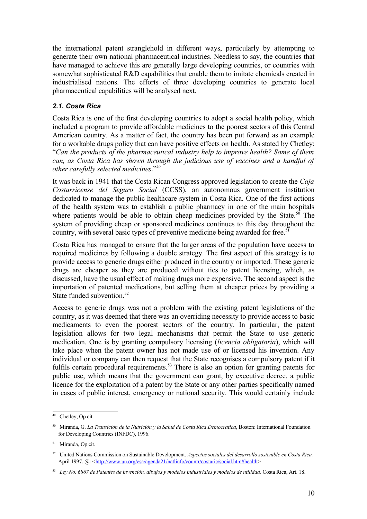the international patent stranglehold in different ways, particularly by attempting to generate their own national pharmaceutical industries. Needless to say, the countries that have managed to achieve this are generally large developing countries, or countries with somewhat sophisticated R&D capabilities that enable them to imitate chemicals created in industrialised nations. The efforts of three developing countries to generate local pharmaceutical capabilities will be analysed next.

#### *2.1. Costa Rica*

Costa Rica is one of the first developing countries to adopt a social health policy, which included a program to provide affordable medicines to the poorest sectors of this Central American country. As a matter of fact, the country has been put forward as an example for a workable drugs policy that can have positive effects on health. As stated by Chetley: "*Can the products of the pharmaceutical industry help to improve health? Some of them can, as Costa Rica has shown through the judicious use of vaccines and a handful of other carefully selected medicines*." [49](#page-10-0)

It was back in 1941 that the Costa Rican Congress approved legislation to create the *Caja Costarricense del Seguro Social* (CCSS), an autonomous government institution dedicated to manage the public healthcare system in Costa Rica. One of the first actions of the health system was to establish a public pharmacy in one of the main hospitals where patients would be able to obtain cheap medicines provided by the State.<sup>[50](#page-10-1)</sup> The system of providing cheap or sponsored medicines continues to this day throughout the country, with several basic types of preventive medicine being awarded for free.<sup>[51](#page-10-2)</sup>

Costa Rica has managed to ensure that the larger areas of the population have access to required medicines by following a double strategy. The first aspect of this strategy is to provide access to generic drugs either produced in the country or imported. These generic drugs are cheaper as they are produced without ties to patent licensing, which, as discussed, have the usual effect of making drugs more expensive. The second aspect is the importation of patented medications, but selling them at cheaper prices by providing a State funded subvention. [52](#page-10-3)

Access to generic drugs was not a problem with the existing patent legislations of the country, as it was deemed that there was an overriding necessity to provide access to basic medicaments to even the poorest sectors of the country. In particular, the patent legislation allows for two legal mechanisms that permit the State to use generic medication. One is by granting compulsory licensing (*licencia obligatoria*), which will take place when the patent owner has not made use of or licensed his invention. Any individual or company can then request that the State recognises a compulsory patent if it fulfils certain procedural requirements.<sup>[53](#page-10-4)</sup> There is also an option for granting patents for public use, which means that the government can grant, by executive decree, a public licence for the exploitation of a patent by the State or any other parties specifically named in cases of public interest, emergency or national security. This would certainly include

<span id="page-10-0"></span><sup>49</sup> Chetley, Op cit.

<span id="page-10-1"></span><sup>50</sup> Miranda, G. *La Transición de la Nutrición y la Salud de Costa Rica Democrática*, Boston: International Foundation for Developing Countries (INFDC), 1996.

<span id="page-10-2"></span><sup>&</sup>lt;sup>51</sup> Miranda, Op cit.

<span id="page-10-3"></span><sup>52</sup> United Nations Commission on Sustainable Development. *Aspectos sociales del desarrollo sostenible en Costa Rica.* April 1997. @: <[http://www.un.org/esa/agenda21/natlinfo/countr/costaric/social.htm#health>](http://www.un.org/esa/agenda21/natlinfo/countr/costaric/social.htm#health)

<span id="page-10-4"></span><sup>53</sup> *Ley No. 6867 de Patentes de invención, dibujos y modelos industriales y modelos de utilidad*. Costa Rica, Art. 18.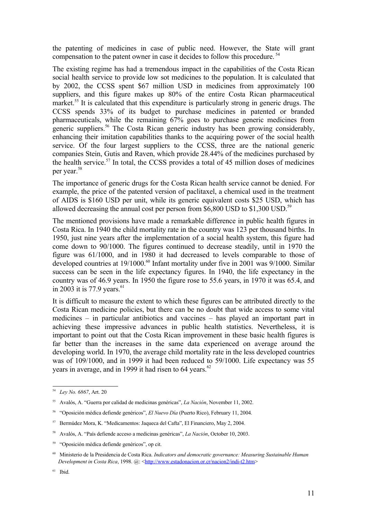the patenting of medicines in case of public need. However, the State will grant compensation to the patent owner in case it decides to follow this procedure. [54](#page-11-0)

The existing regime has had a tremendous impact in the capabilities of the Costa Rican social health service to provide low sot medicines to the population. It is calculated that by 2002, the CCSS spent \$67 million USD in medicines from approximately 100 suppliers, and this figure makes up 80% of the entire Costa Rican pharmaceutical market.<sup>[55](#page-11-1)</sup> It is calculated that this expenditure is particularly strong in generic drugs. The CCSS spends 33% of its budget to purchase medicines in patented or branded pharmaceuticals, while the remaining 67% goes to purchase generic medicines from generic suppliers. [56](#page-11-2) The Costa Rican generic industry has been growing considerably, enhancing their imitation capabilities thanks to the acquiring power of the social health service. Of the four largest suppliers to the CCSS, three are the national generic companies Stein, Gutis and Raven, which provide 28.44% of the medicines purchased by the health service. [57](#page-11-3) In total, the CCSS provides a total of 45 million doses of medicines per year. [58](#page-11-4)

The importance of generic drugs for the Costa Rican health service cannot be denied. For example, the price of the patented version of paclitaxel, a chemical used in the treatment of AIDS is \$160 USD per unit, while its generic equivalent costs \$25 USD, which has allowed decreasing the annual cost per person from \$6,800 USD to \$1,300 USD.<sup>[59](#page-11-5)</sup>

The mentioned provisions have made a remarkable difference in public health figures in Costa Rica. In 1940 the child mortality rate in the country was 123 per thousand births. In 1950, just nine years after the implementation of a social health system, this figure had come down to 90/1000. The figures continued to decrease steadily, until in 1970 the figure was 61/1000, and in 1980 it had decreased to levels comparable to those of developed countries at 19/1000.<sup>[60](#page-11-6)</sup> Infant mortality under five in 2001 was 9/1000. Similar success can be seen in the life expectancy figures. In 1940, the life expectancy in the country was of 46.9 years. In 1950 the figure rose to 55.6 years, in 1970 it was 65.4, and in 2003 it is 77.9 years.<sup>[61](#page-11-7)</sup>

It is difficult to measure the extent to which these figures can be attributed directly to the Costa Rican medicine policies, but there can be no doubt that wide access to some vital medicines – in particular antibiotics and vaccines – has played an important part in achieving these impressive advances in public health statistics. Nevertheless, it is important to point out that the Costa Rican improvement in these basic health figures is far better than the increases in the same data experienced on average around the developing world. In 1970, the average child mortality rate in the less developed countries was of 109/1000, and in 1999 it had been reduced to 59/1000. Life expectancy was 55 years in average, and in 1999 it had risen to 64 years.<sup>[62](#page-12-0)</sup>

<span id="page-11-0"></span><sup>54</sup> *Ley No. 6867*, Art. 20

<span id="page-11-1"></span><sup>55</sup> Avalós, A. "Guerra por calidad de medicinas genéricas", *La Nación*, November 11, 2002.

<span id="page-11-2"></span><sup>56</sup> "Oposición médica defiende genéricos", *El Nuevo Día* (Puerto Rico), February 11, 2004.

<span id="page-11-3"></span><sup>57</sup> Bermúdez Mora, K. "Medicamentos: Jaqueca del Cafta", El Financiero, May 2, 2004.

<span id="page-11-4"></span><sup>58</sup> Avalós, A. "País defiende acceso a medicinas genéricas", *La Nación*, October 10, 2003.

<span id="page-11-5"></span><sup>59</sup> "Oposición médica defiende genéricos", op cit.

<span id="page-11-6"></span><sup>60</sup> Ministerio de la Presidencia de Costa Rica. *Indicators and democratic governance: Measuring Sustainable Human Development in Costa Rica*, 1998. @: <<http://www.estadonacion.or.cr/nacion2/indi-t2.htm>>

<span id="page-11-7"></span><sup>61</sup> Ibid.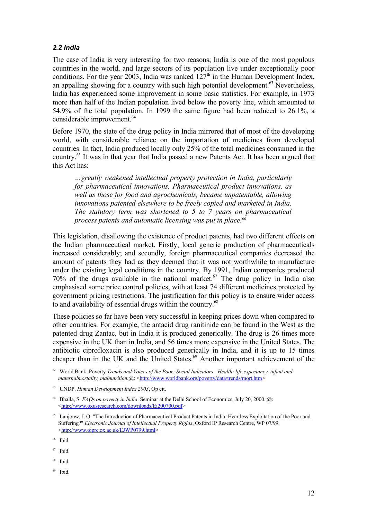#### *2.2 India*

The case of India is very interesting for two reasons; India is one of the most populous countries in the world, and large sectors of its population live under exceptionally poor conditions. For the year 2003, India was ranked  $127<sup>th</sup>$  in the Human Development Index, an appalling showing for a country with such high potential development.<sup>[63](#page-12-1)</sup> Nevertheless, India has experienced some improvement in some basic statistics. For example, in 1973 more than half of the Indian population lived below the poverty line, which amounted to 54.9% of the total population. In 1999 the same figure had been reduced to 26.1%, a considerable improvement. [64](#page-12-2)

Before 1970, the state of the drug policy in India mirrored that of most of the developing world, with considerable reliance on the importation of medicines from developed countries. In fact, India produced locally only 25% of the total medicines consumed in the country. [65](#page-12-3) It was in that year that India passed a new Patents Act. It has been argued that this Act has:

*…greatly weakened intellectual property protection in India, particularly for pharmaceutical innovations. Pharmaceutical product innovations, as well as those for food and agrochemicals, became unpatentable, allowing innovations patented elsewhere to be freely copied and marketed in India. The statutory term was shortened to 5 to 7 years on pharmaceutical process patents and automatic licensing was put in place. [66](#page-12-4)*

This legislation, disallowing the existence of product patents, had two different effects on the Indian pharmaceutical market. Firstly, local generic production of pharmaceuticals increased considerably; and secondly, foreign pharmaceutical companies decreased the amount of patents they had as they deemed that it was not worthwhile to manufacture under the existing legal conditions in the country. By 1991, Indian companies produced 70% of the drugs available in the national market. [67](#page-12-5) The drug policy in India also emphasised some price control policies, with at least 74 different medicines protected by government pricing restrictions. The justification for this policy is to ensure wider access to and availability of essential drugs within the country.<sup>[68](#page-12-6)</sup>

These policies so far have been very successful in keeping prices down when compared to other countries. For example, the antacid drug ranitinide can be found in the West as the patented drug Zantac, but in India it is produced generically. The drug is 26 times more expensive in the UK than in India, and 56 times more expensive in the United States. The antibiotic ciprofloxacin is also produced generically in India, and it is up to 15 times cheaper than in the UK and the United States. [69](#page-12-7) Another important achievement of the

- <span id="page-12-6"></span>68 Ibid.
- <span id="page-12-7"></span>69 Ibid.

<span id="page-12-0"></span><sup>62</sup> World Bank. Poverty *Trends and Voices of the Poor: Social Indicators - Health: life expectancy, infant and maternalmortality, malnutrition.* @: [<http://www.worldbank.org/poverty/data/trends/mort.htm>](http://www.worldbank.org/poverty/data/trends/mort.htm)

<span id="page-12-1"></span><sup>63</sup> UNDP. *Human Development Index 2003*, Op cit.

<span id="page-12-2"></span><sup>64</sup> Bhalla, S. *FAQs on poverty in India*. Seminar at the Delhi School of Economics, July 20, 2000. @: <[http://www.oxusresearch.com/downloads/Ei200700.pdf>](http://www.oxusresearch.com/downloads/Ei200700.pdf)

<span id="page-12-3"></span><sup>65</sup> Lanjouw, J. O. "The Introduction of Pharmaceutical Product Patents in India: Heartless Exploitation of the Poor and Suffering?" *Electronic Journal of Intellectual Property Rights*, Oxford IP Research Centre, WP 07/99, <<http://www.oiprc.ox.ac.uk/EJWP0799.html>>

<span id="page-12-4"></span><sup>66</sup> Ibid.

<span id="page-12-5"></span><sup>67</sup> Ibid.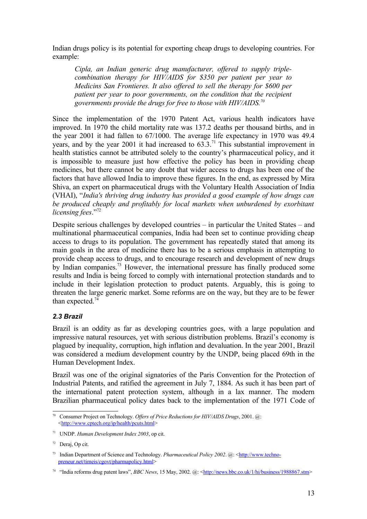Indian drugs policy is its potential for exporting cheap drugs to developing countries. For example:

*Cipla, an Indian generic drug manufacturer, offered to supply triplecombination therapy for HIV/AIDS for \$350 per patient per year to Medicins San Frontieres. It also offered to sell the therapy for \$600 per patient per year to poor governments, on the condition that the recipient governments provide the drugs for free to those with HIV/AIDS. [70](#page-13-0)*

Since the implementation of the 1970 Patent Act, various health indicators have improved. In 1970 the child mortality rate was 137.2 deaths per thousand births, and in the year 2001 it had fallen to 67/1000. The average life expectancy in 1970 was 49.4 years, and by the year 2001 it had increased to  $63.3$ .<sup>[71](#page-13-1)</sup> This substantial improvement in health statistics cannot be attributed solely to the country's pharmaceutical policy, and it is impossible to measure just how effective the policy has been in providing cheap medicines, but there cannot be any doubt that wider access to drugs has been one of the factors that have allowed India to improve these figures. In the end, as expressed by Mira Shiva, an expert on pharmaceutical drugs with the Voluntary Health Association of India (VHAI), "*India's thriving drug industry has provided a good example of how drugs can be produced cheaply and profitably for local markets when unburdened by exorbitant licensing fees*." [72](#page-13-2)

Despite serious challenges by developed countries – in particular the United States – and multinational pharmaceutical companies, India had been set to continue providing cheap access to drugs to its population. The government has repeatedly stated that among its main goals in the area of medicine there has to be a serious emphasis in attempting to provide cheap access to drugs, and to encourage research and development of new drugs by Indian companies.<sup>[73](#page-13-3)</sup> However, the international pressure has finally produced some results and India is being forced to comply with international protection standards and to include in their legislation protection to product patents. Arguably, this is going to threaten the large generic market. Some reforms are on the way, but they are to be fewer than expected.<sup>[74](#page-13-4)</sup>

#### *2.3 Brazil*

Brazil is an oddity as far as developing countries goes, with a large population and impressive natural resources, yet with serious distribution problems. Brazil's economy is plagued by inequality, corruption, high inflation and devaluation. In the year 2001, Brazil was considered a medium development country by the UNDP, being placed 69th in the Human Development Index.

Brazil was one of the original signatories of the Paris Convention for the Protection of Industrial Patents, and ratified the agreement in July 7, 1884. As such it has been part of the international patent protection system, although in a lax manner. The modern Brazilian pharmaceutical policy dates back to the implementation of the 1971 Code of

<span id="page-13-0"></span><sup>70</sup> Consumer Project on Technology. *Offers of Price Reductions for HIV/AIDS Drugs*, 2001. @: <[http://www.cptech.org/ip/health/pcuts.html>](http://www.cptech.org/ip/health/pcuts.html)

<span id="page-13-1"></span><sup>71</sup> UNDP. *Human Development Index 2003*, op cit.

<span id="page-13-2"></span> $72$  Deraj, Op cit.

<span id="page-13-3"></span><sup>73</sup> Indian Department of Science and Technology. *Pharmaceutical Policy 2002*. @: [<http://www.techno](http://www.techno-preneur.net/timeis/cgovt/pharmapolicy.html)[preneur.net/timeis/cgovt/pharmapolicy.html>](http://www.techno-preneur.net/timeis/cgovt/pharmapolicy.html)

<span id="page-13-4"></span><sup>&</sup>lt;sup>74</sup> "India reforms drug patent laws", *BBC News*, 15 May, 2002. @: <<http://news.bbc.co.uk/1/hi/business/1988867.stm>>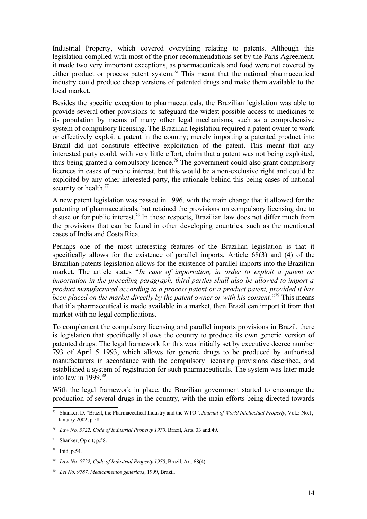Industrial Property, which covered everything relating to patents. Although this legislation complied with most of the prior recommendations set by the Paris Agreement, it made two very important exceptions, as pharmaceuticals and food were not covered by either product or process patent system.<sup>[75](#page-14-0)</sup> This meant that the national pharmaceutical industry could produce cheap versions of patented drugs and make them available to the local market.

Besides the specific exception to pharmaceuticals, the Brazilian legislation was able to provide several other provisions to safeguard the widest possible access to medicines to its population by means of many other legal mechanisms, such as a comprehensive system of compulsory licensing. The Brazilian legislation required a patent owner to work or effectively exploit a patent in the country; merely importing a patented product into Brazil did not constitute effective exploitation of the patent. This meant that any interested party could, with very little effort, claim that a patent was not being exploited, thus being granted a compulsory licence.<sup>[76](#page-14-1)</sup> The government could also grant compulsory licences in cases of public interest, but this would be a non-exclusive right and could be exploited by any other interested party, the rationale behind this being cases of national security or health.<sup>[77](#page-14-2)</sup>

A new patent legislation was passed in 1996, with the main change that it allowed for the patenting of pharmaceuticals, but retained the provisions on compulsory licensing due to disuse or for public interest.<sup>[78](#page-14-3)</sup> In those respects, Brazilian law does not differ much from the provisions that can be found in other developing countries, such as the mentioned cases of India and Costa Rica.

Perhaps one of the most interesting features of the Brazilian legislation is that it specifically allows for the existence of parallel imports. Article 68(3) and (4) of the Brazilian patents legislation allows for the existence of parallel imports into the Brazilian market. The article states "*In case of importation, in order to exploit a patent or importation in the preceding paragraph, third parties shall also be allowed to import a product manufactured according to a process patent or a product patent, provided it has been placed on the market directly by the patent owner or with his consent.*" [79](#page-14-4) This means that if a pharmaceutical is made available in a market, then Brazil can import it from that market with no legal complications.

To complement the compulsory licensing and parallel imports provisions in Brazil, there is legislation that specifically allows the country to produce its own generic version of patented drugs. The legal framework for this was initially set by executive decree number 793 of April 5 1993, which allows for generic drugs to be produced by authorised manufacturers in accordance with the compulsory licensing provisions described, and established a system of registration for such pharmaceuticals. The system was later made into law in 1999. [80](#page-14-5)

With the legal framework in place, the Brazilian government started to encourage the production of several drugs in the country, with the main efforts being directed towards

<span id="page-14-0"></span><sup>75</sup> Shanker, D. "Brazil, the Pharmaceutical Industry and the WTO", *Journal of World Intellectual Property*, Vol.5 No.1, January 2002, p.58.

<span id="page-14-1"></span><sup>76</sup> *Law No. 5722, Code of Industrial Property 1970*. Brazil, Arts. 33 and 49.

<span id="page-14-2"></span><sup>77</sup> Shanker, Op cit; p.58.

<span id="page-14-3"></span><sup>78</sup> Ibid; p.54.

<span id="page-14-4"></span><sup>79</sup> *Law No. 5722, Code of Industrial Property 1970*, Brazil, Art. 68(4).

<span id="page-14-5"></span><sup>80</sup> *Lei No. 9787, Medicamentos genéricos*, 1999, Brazil.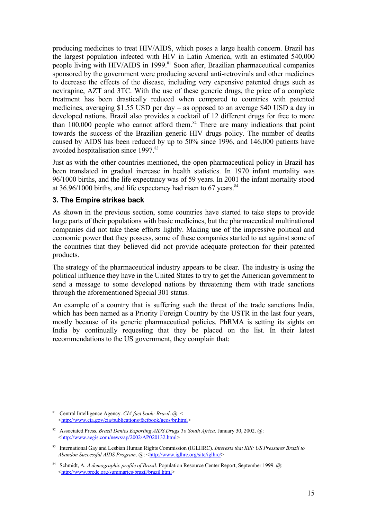producing medicines to treat HIV/AIDS, which poses a large health concern. Brazil has the largest population infected with HIV in Latin America, with an estimated 540,000 people living with HIV/AIDS in 1999.<sup>[81](#page-15-0)</sup> Soon after, Brazilian pharmaceutical companies sponsored by the government were producing several anti-retrovirals and other medicines to decrease the effects of the disease, including very expensive patented drugs such as nevirapine, AZT and 3TC. With the use of these generic drugs, the price of a complete treatment has been drastically reduced when compared to countries with patented medicines, averaging \$1.55 USD per day – as opposed to an average \$40 USD a day in developed nations. Brazil also provides a cocktail of 12 different drugs for free to more than 100,000 people who cannot afford them. [82](#page-15-1) There are many indications that point towards the success of the Brazilian generic HIV drugs policy. The number of deaths caused by AIDS has been reduced by up to 50% since 1996, and 146,000 patients have avoided hospitalisation since 1997. [83](#page-15-2)

Just as with the other countries mentioned, the open pharmaceutical policy in Brazil has been translated in gradual increase in health statistics. In 1970 infant mortality was 96/1000 births, and the life expectancy was of 59 years. In 2001 the infant mortality stood at  $36.96/1000$  births, and life expectancy had risen to 67 years.<sup>[84](#page-15-3)</sup>

#### **3. The Empire strikes back**

As shown in the previous section, some countries have started to take steps to provide large parts of their populations with basic medicines, but the pharmaceutical multinational companies did not take these efforts lightly. Making use of the impressive political and economic power that they possess, some of these companies started to act against some of the countries that they believed did not provide adequate protection for their patented products.

The strategy of the pharmaceutical industry appears to be clear. The industry is using the political influence they have in the United States to try to get the American government to send a message to some developed nations by threatening them with trade sanctions through the aforementioned Special 301 status.

An example of a country that is suffering such the threat of the trade sanctions India, which has been named as a Priority Foreign Country by the USTR in the last four years, mostly because of its generic pharmaceutical policies. PhRMA is setting its sights on India by continually requesting that they be placed on the list. In their latest recommendations to the US government, they complain that:

<span id="page-15-0"></span><sup>81</sup> Central Intelligence Agency. *CIA fact book: Brazil*. @: < <[http://www.cia.gov/cia/publications/factbook/geos/br.html>](http://www.cia.gov/cia/publications/factbook/geos/br.html)

<span id="page-15-1"></span><sup>82</sup> Associated Press. *Brazil Denies Exporting AIDS Drugs To South Africa,* January 30, 2002. @: <[http://www.aegis.com/news/ap/2002/AP020132.html>](http://www.aegis.com/news/ap/2002/AP020132.html)

<span id="page-15-2"></span><sup>83</sup> International Gay and Lesbian Human Rights Commission (IGLHRC). *Interests that Kill: US Pressures Brazil to Abandon Successful AIDS Program.* @: [<http://www.iglhrc.org/site/iglhrc/>](http://www.iglhrc.org/site/iglhrc/)

<span id="page-15-3"></span><sup>84</sup> Schmidt, A. *A demographic profile of Brazil*. Population Resource Center Report, September 1999. @: <<http://www.prcdc.org/summaries/brazil/brazil.html>>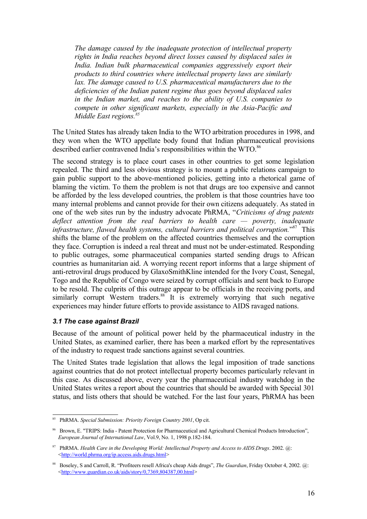*The damage caused by the inadequate protection of intellectual property rights in India reaches beyond direct losses caused by displaced sales in India. Indian bulk pharmaceutical companies aggressively export their products to third countries where intellectual property laws are similarly lax. The damage caused to U.S. pharmaceutical manufacturers due to the deficiencies of the Indian patent regime thus goes beyond displaced sales in the Indian market, and reaches to the ability of U.S. companies to compete in other significant markets, especially in the Asia-Pacific and Middle East regions. [85](#page-16-0)*

The United States has already taken India to the WTO arbitration procedures in 1998, and they won when the WTO appellate body found that Indian pharmaceutical provisions described earlier contravened India's responsibilities within the WTO.<sup>[86](#page-16-1)</sup>

The second strategy is to place court cases in other countries to get some legislation repealed. The third and less obvious strategy is to mount a public relations campaign to gain public support to the above-mentioned policies, getting into a rhetorical game of blaming the victim. To them the problem is not that drugs are too expensive and cannot be afforded by the less developed countries, the problem is that those countries have too many internal problems and cannot provide for their own citizens adequately. As stated in one of the web sites run by the industry advocate PhRMA, "*Criticisms of drug patents deflect attention from the real barriers to health care — poverty, inadequate infrastructure, flawed health systems, cultural barriers and political corruption.*" [87](#page-16-2) This shifts the blame of the problem on the affected countries themselves and the corruption they face. Corruption is indeed a real threat and must not be under-estimated. Responding to public outrages, some pharmaceutical companies started sending drugs to African countries as humanitarian aid. A worrying recent report informs that a large shipment of anti-retroviral drugs produced by GlaxoSmithKline intended for the Ivory Coast, Senegal, Togo and the Republic of Congo were seized by corrupt officials and sent back to Europe to be resold. The culprits of this outrage appear to be officials in the receiving ports, and similarly corrupt Western traders.<sup>[88](#page-16-3)</sup> It is extremely worrying that such negative experiences may hinder future efforts to provide assistance to AIDS ravaged nations.

#### *3.1 The case against Brazil*

Because of the amount of political power held by the pharmaceutical industry in the United States, as examined earlier, there has been a marked effort by the representatives of the industry to request trade sanctions against several countries.

The United States trade legislation that allows the legal imposition of trade sanctions against countries that do not protect intellectual property becomes particularly relevant in this case. As discussed above, every year the pharmaceutical industry watchdog in the United States writes a report about the countries that should be awarded with Special 301 status, and lists others that should be watched. For the last four years, PhRMA has been

<span id="page-16-0"></span><sup>85</sup> PhRMA. *Special Submission: Priority Foreign Country 2001*, Op cit.

<span id="page-16-1"></span><sup>86</sup> Brown, E. "TRIPS: India - Patent Protection for Pharmaceutical and Agricultural Chemical Products Introduction", *European Journal of International Law*, Vol.9, No. 1, 1998 p.182-184.

<span id="page-16-2"></span><sup>87</sup> PhRMA. *Health Care in the Developing World: Intellectual Property and Access to AIDS Drugs*. 2002. @: <<http://world.phrma.org/ip.access.aids.drugs.html>>

<span id="page-16-3"></span><sup>88</sup> Boseley, S and Carroll, R. "Profiteers resell Africa's cheap Aids drugs", *The Guardian*, Friday October 4, 2002. @: <[http://www.guardian.co.uk/aids/story/0,7369,804387,00.html>](http://www.guardian.co.uk/aids/story/0,7369,804387,00.html)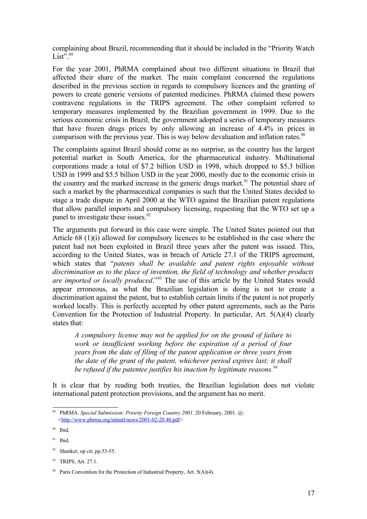complaining about Brazil, recommending that it should be included in the "Priority Watch List".<sup>[89](#page-17-0)</sup>

For the year 2001, PhRMA complained about two different situations in Brazil that affected their share of the market. The main complaint concerned the regulations described in the previous section in regards to compulsory licences and the granting of powers to create generic versions of patented medicines. PhRMA claimed these powers contravene regulations in the TRIPS agreement. The other complaint referred to temporary measures implemented by the Brazilian government in 1999. Due to the serious economic crisis in Brazil, the government adopted a series of temporary measures that have frozen drugs prices by only allowing an increase of 4.4% in prices in comparison with the previous year. This is way below devaluation and inflation rates.<sup>[90](#page-17-1)</sup>

The complaints against Brazil should come as no surprise, as the country has the largest potential market in South America, for the pharmaceutical industry. Multinational corporations made a total of \$7.2 billion USD in 1998, which dropped to \$5.3 billion USD in 1999 and \$5.5 billion USD in the year 2000, mostly due to the economic crisis in the country and the marked increase in the generic drugs market.<sup>[91](#page-17-2)</sup> The potential share of such a market by the pharmaceutical companies is such that the United States decided to stage a trade dispute in April 2000 at the WTO against the Brazilian patent regulations that allow parallel imports and compulsory licensing, requesting that the WTO set up a panel to investigate these issues.<sup>[92](#page-17-3)</sup>

The arguments put forward in this case were simple. The United States pointed out that Article 68 (1)(i) allowed for compulsory licences to be established in the case where the patent had not been exploited in Brazil three years after the patent was issued. This, according to the United States, was in breach of Article 27.1 of the TRIPS agreement, which states that "*patents shall be available and patent rights enjoyable without discrimination as to the place of invention, the field of technology and whether products are imported or locally produced*." [93](#page-17-4) The use of this article by the United States would appear erroneous, as what the Brazilian legislation is doing is not to create a discrimination against the patent, but to establish certain limits if the patent is not properly worked locally. This is perfectly accepted by other patent agreements, such as the Paris Convention for the Protection of Industrial Property. In particular, Art. 5(A)(4) clearly states that:

*A compulsory license may not be applied for on the ground of failure to work or insufficient working before the expiration of a period of four years from the date of filing of the patent application or three years from the date of the grant of the patent, whichever period expires last; it shall be refused if the patentee justifies his inaction by legitimate reasons. [94](#page-17-5)*

It is clear that by reading both treaties, the Brazilian legislation does not violate international patent protection provisions, and the argument has no merit.

<span id="page-17-0"></span><sup>89</sup> PhRMA. *Special Submission: Priority Foreign Country 2001*. 20 February, 2001. @: <[http://www.phrma.org/intnatl/news/2001-02-20.40.pdf>](http://www.phrma.org/intnatl/news/2001-02-20.40.pdf)

<span id="page-17-1"></span><sup>90</sup> Ibid.

<span id="page-17-2"></span><sup>91</sup> Ibid.

<span id="page-17-3"></span> $92$  Shanker, op cit; pp.53-55.

<span id="page-17-4"></span><sup>93</sup> TRIPS, Art. 27.1.

<span id="page-17-5"></span><sup>&</sup>lt;sup>94</sup> Paris Convention for the Protection of Industrial Property, Art.  $5(A)(4)$ .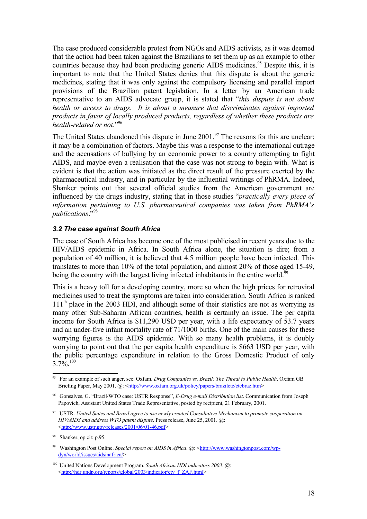The case produced considerable protest from NGOs and AIDS activists, as it was deemed that the action had been taken against the Brazilians to set them up as an example to other countries because they had been producing generic AIDS medicines. [95](#page-18-0) Despite this, it is important to note that the United States denies that this dispute is about the generic medicines, stating that it was only against the compulsory licensing and parallel import provisions of the Brazilian patent legislation. In a letter by an American trade representative to an AIDS advocate group, it is stated that "*this dispute is not about health or access to drugs. It is about a measure that discriminates against imported products in favor of locally produced products, regardless of whether these products are health-related or not*." [96](#page-18-1)

The United States abandoned this dispute in June 2001.<sup>[97](#page-18-2)</sup> The reasons for this are unclear; it may be a combination of factors. Maybe this was a response to the international outrage and the accusations of bullying by an economic power to a country attempting to fight AIDS, and maybe even a realisation that the case was not strong to begin with. What is evident is that the action was initiated as the direct result of the pressure exerted by the pharmaceutical industry, and in particular by the influential writings of PhRMA. Indeed, Shanker points out that several official studies from the American government are influenced by the drugs industry, stating that in those studies "*practically every piece of information pertaining to U.S. pharmaceutical companies was taken from PhRMA's publications*." [98](#page-18-3)

#### *3.2 The case against South Africa*

The case of South Africa has become one of the most publicised in recent years due to the HIV/AIDS epidemic in Africa. In South Africa alone, the situation is dire; from a population of 40 million, it is believed that 4.5 million people have been infected. This translates to more than 10% of the total population, and almost 20% of those aged 15-49, being the country with the largest living infected inhabitants in the entire world.<sup>[99](#page-18-4)</sup>

This is a heavy toll for a developing country, more so when the high prices for retroviral medicines used to treat the symptoms are taken into consideration. South Africa is ranked 111<sup>th</sup> place in the 2003 HDI, and although some of their statistics are not as worrying as many other Sub-Saharan African countries, health is certainly an issue. The per capita income for South Africa is \$11,290 USD per year, with a life expectancy of 53.7 years and an under-five infant mortality rate of 71/1000 births. One of the main causes for these worrying figures is the AIDS epidemic. With so many health problems, it is doubly worrying to point out that the per capita health expenditure is \$663 USD per year, with the public percentage expenditure in relation to the Gross Domestic Product of only  $3.7\%$ <sup>[100](#page-18-5)</sup>

<span id="page-18-0"></span><sup>95</sup> For an example of such anger, see: Oxfam. *Drug Companies vs. Brazil: The Threat to Public Health*. Oxfam GB Briefing Paper, May 2001.  $\omega$ : [<http://www.oxfam.org.uk/policy/papers/brazilctc/ctcbraz.htm](http://www.oxfam.org.uk/policy/papers/brazilctc/ctcbraz.htm)>

<span id="page-18-1"></span><sup>96</sup> Gonsalves, G. "Brazil/WTO case: USTR Response", *E-Drug e-mail Distribution list*. Communication from Joseph Papovich, Assistant United States Trade Representative, posted by recipient, 21 February, 2001.

<span id="page-18-2"></span><sup>97</sup> USTR. *United States and Brazil agree to use newly created Consultative Mechanism to promote cooperation on HIV/AIDS and address WTO patent dispute*. Press release, June 25, 2001. @: <<http://www.ustr.gov/releases/2001/06/01-46.pdf>>

<span id="page-18-3"></span><sup>98</sup> Shanker, op cit; p.95.

<span id="page-18-4"></span><sup>99</sup> Washington Post Online. *Special report on AIDS in Africa*. @: <[http://www.washingtonpost.com/wp](http://www.washingtonpost.com/wp-dyn/world/issues/aidsinafrica/)[dyn/world/issues/aidsinafrica/>](http://www.washingtonpost.com/wp-dyn/world/issues/aidsinafrica/)

<span id="page-18-5"></span><sup>100</sup> United Nations Development Program. *South African HDI indicators 2003*. @: <[http://hdr.undp.org/reports/global/2003/indicator/cty\\_f\\_ZAF.html>](http://hdr.undp.org/reports/global/2003/indicator/cty_f_ZAF.html)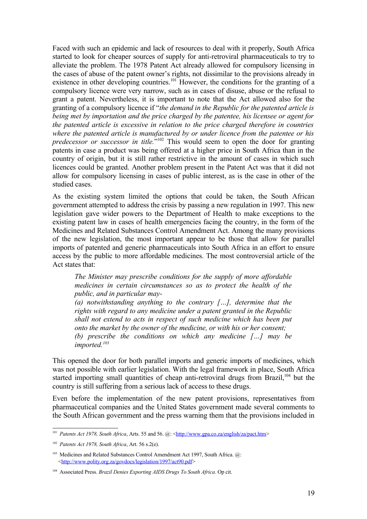Faced with such an epidemic and lack of resources to deal with it properly, South Africa started to look for cheaper sources of supply for anti-retroviral pharmaceuticals to try to alleviate the problem. The 1978 Patent Act already allowed for compulsory licensing in the cases of abuse of the patent owner's rights, not dissimilar to the provisions already in existence in other developing countries.<sup>[101](#page-19-0)</sup> However, the conditions for the granting of a compulsory licence were very narrow, such as in cases of disuse, abuse or the refusal to grant a patent. Nevertheless, it is important to note that the Act allowed also for the granting of a compulsory licence if "*the demand in the Republic for the patented article is being met by importation and the price charged by the patentee, his licensee or agent for the patented article is excessive in relation to the price charged therefore in countries where the patented article is manufactured by or under licence from the patentee or his predecessor or successor in title.*" [102](#page-19-1) This would seem to open the door for granting patents in case a product was being offered at a higher price in South Africa than in the country of origin, but it is still rather restrictive in the amount of cases in which such licences could be granted. Another problem present in the Patent Act was that it did not allow for compulsory licensing in cases of public interest, as is the case in other of the studied cases.

As the existing system limited the options that could be taken, the South African government attempted to address the crisis by passing a new regulation in 1997. This new legislation gave wider powers to the Department of Health to make exceptions to the existing patent law in cases of health emergencies facing the country, in the form of the Medicines and Related Substances Control Amendment Act. Among the many provisions of the new legislation, the most important appear to be those that allow for parallel imports of patented and generic pharmaceuticals into South Africa in an effort to ensure access by the public to more affordable medicines. The most controversial article of the Act states that:

*The Minister may prescribe conditions for the supply of more affordable medicines in certain circumstances so as to protect the health of the public, and in particular may-*

*(a) notwithstanding anything to the contrary […], determine that the rights with regard to any medicine under a patent granted in the Republic shall not extend to acts in respect of such medicine which has been put onto the market by the owner of the medicine, or with his or her consent; (b) prescribe the conditions on which any medicine […] may be imported. [103](#page-19-2)*

This opened the door for both parallel imports and generic imports of medicines, which was not possible with earlier legislation. With the legal framework in place, South Africa started importing small quantities of cheap anti-retroviral drugs from Brazil,<sup>[104](#page-19-3)</sup> but the country is still suffering from a serious lack of access to these drugs.

Even before the implementation of the new patent provisions, representatives from pharmaceutical companies and the United States government made several comments to the South African government and the press warning them that the provisions included in

<span id="page-19-0"></span><sup>&</sup>lt;sup>101</sup> *Patents Act 1978, South Africa, Arts.* 55 and 56. @: [<http://www.gpa.co.za/english/za/pact.htm>](http://www.gpa.co.za/english/za/pact.htm)

<span id="page-19-1"></span><sup>102</sup> *Patents Act 1978, South Africa*, Art. 56 s.2(e).

<span id="page-19-2"></span><sup>&</sup>lt;sup>103</sup> Medicines and Related Substances Control Amendment Act 1997, South Africa. @: <[http://www.polity.org.za/govdocs/legislation/1997/act90.pdf>](http://www.polity.org.za/govdocs/legislation/1997/act90.pdf)

<span id="page-19-3"></span><sup>104</sup> Associated Press. *Brazil Denies Exporting AIDS Drugs To South Africa*. Op cit.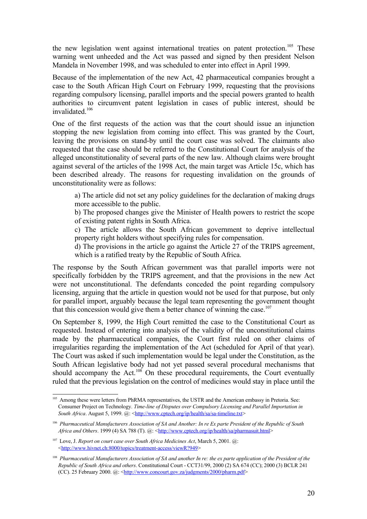the new legislation went against international treaties on patent protection.<sup>[105](#page-20-0)</sup> These warning went unheeded and the Act was passed and signed by then president Nelson Mandela in November 1998, and was scheduled to enter into effect in April 1999.

Because of the implementation of the new Act, 42 pharmaceutical companies brought a case to the South African High Court on February 1999, requesting that the provisions regarding compulsory licensing, parallel imports and the special powers granted to health authorities to circumvent patent legislation in cases of public interest, should be invalidated. [106](#page-20-1)

One of the first requests of the action was that the court should issue an injunction stopping the new legislation from coming into effect. This was granted by the Court, leaving the provisions on stand-by until the court case was solved. The claimants also requested that the case should be referred to the Constitutional Court for analysis of the alleged unconstitutionality of several parts of the new law. Although claims were brought against several of the articles of the 1998 Act, the main target was Article 15c, which has been described already. The reasons for requesting invalidation on the grounds of unconstitutionality were as follows:

a) The article did not set any policy guidelines for the declaration of making drugs more accessible to the public.

b) The proposed changes give the Minister of Health powers to restrict the scope of existing patent rights in South Africa.

c) The article allows the South African government to deprive intellectual property right holders without specifying rules for compensation.

d) The provisions in the article go against the Article 27 of the TRIPS agreement, which is a ratified treaty by the Republic of South Africa.

The response by the South African government was that parallel imports were not specifically forbidden by the TRIPS agreement, and that the provisions in the new Act were not unconstitutional. The defendants conceded the point regarding compulsory licensing, arguing that the article in question would not be used for that purpose, but only for parallel import, arguably because the legal team representing the government thought that this concession would give them a better chance of winning the case.<sup>[107](#page-20-2)</sup>

On September 8, 1999, the High Court remitted the case to the Constitutional Court as requested. Instead of entering into analysis of the validity of the unconstitutional claims made by the pharmaceutical companies, the Court first ruled on other claims of irregularities regarding the implementation of the Act (scheduled for April of that year). The Court was asked if such implementation would be legal under the Constitution, as the South African legislative body had not yet passed several procedural mechanisms that should accompany the Act.<sup>[108](#page-20-3)</sup> On these procedural requirements, the Court eventually ruled that the previous legislation on the control of medicines would stay in place until the

<span id="page-20-0"></span><sup>&</sup>lt;sup>105</sup> Among these were letters from PhRMA representatives, the USTR and the American embassy in Pretoria. See: Consumer Project on Technology. *Time-line of Disputes over Compulsory Licensing and Parallel Importation in South Africa*. August 5, 1999. @: <<http://www.cptech.org/ip/health/sa/sa-timeline.txt>>

<span id="page-20-1"></span><sup>&</sup>lt;sup>106</sup> Pharmaceutical Manufacturers Association of SA and Another: In re Ex parte President of the Republic of South *Africa and Others*. 1999 (4) SA 788 (T). @: [<http://www.cptech.org/ip/health/sa/pharmasuit.html>](http://www.cptech.org/ip/health/sa/pharmasuit.html)

<span id="page-20-2"></span><sup>107</sup> Love, J. *Report on court case over South Africa Medicines Act*, March 5, 2001. @: <[http://www.hivnet.ch:8000/topics/treatment-access/viewR?949>](http://www.hivnet.ch:8000/topics/treatment-access/viewR?949)

<span id="page-20-3"></span><sup>&</sup>lt;sup>108</sup> Pharmaceutical Manufacturers Association of SA and another In re: the ex parte application of the President of the *Republic of South Africa and others*. Constitutional Court - CCT31/99, 2000 (2) SA 674 (CC); 2000 (3) BCLR 241 (CC). 25 February 2000.  $\omega$ : <[http://www.concourt.gov.za/judgments/2000/pharm.pdf>](http://www.concourt.gov.za/judgments/2000/pharm.pdf)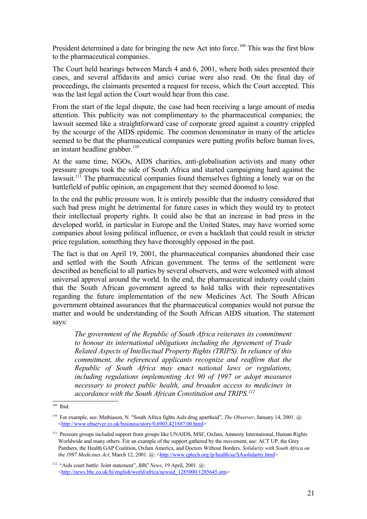President determined a date for bringing the new Act into force.<sup>[109](#page-21-0)</sup> This was the first blow to the pharmaceutical companies.

The Court held hearings between March 4 and 6, 2001, where both sides presented their cases, and several affidavits and amici curiae were also read. On the final day of proceedings, the claimants presented a request for recess, which the Court accepted. This was the last legal action the Court would hear from this case.

From the start of the legal dispute, the case had been receiving a large amount of media attention. This publicity was not complimentary to the pharmaceutical companies; the lawsuit seemed like a straightforward case of corporate greed against a country crippled by the scourge of the AIDS epidemic. The common denominator in many of the articles seemed to be that the pharmaceutical companies were putting profits before human lives, an instant headline grabber.<sup>[110](#page-21-1)</sup>

At the same time, NGOs, AIDS charities, anti-globalisation activists and many other pressure groups took the side of South Africa and started campaigning hard against the lawsuit.<sup>[111](#page-21-2)</sup> The pharmaceutical companies found themselves fighting a lonely war on the battlefield of public opinion, an engagement that they seemed doomed to lose.

In the end the public pressure won. It is entirely possible that the industry considered that such bad press might be detrimental for future cases in which they would try to protect their intellectual property rights. It could also be that an increase in bad press in the developed world, in particular in Europe and the United States, may have worried some companies about losing political influence, or even a backlash that could result in stricter price regulation, something they have thoroughly opposed in the past.

The fact is that on April 19, 2001, the pharmaceutical companies abandoned their case and settled with the South African government. The terms of the settlement were described as beneficial to all parties by several observers, and were welcomed with almost universal approval around the world. In the end, the pharmaceutical industry could claim that the South African government agreed to hold talks with their representatives regarding the future implementation of the new Medicines Act. The South African government obtained assurances that the pharmaceutical companies would not pursue the matter and would be understanding of the South African AIDS situation. The statement says:

*The government of the Republic of South Africa reiterates its commitment to honour its international obligations including the Agreement of Trade Related Aspects of Intellectual Property Rights (TRIPS). In reliance of this commitment, the referenced applicants recognize and reaffirm that the Republic of South Africa may enact national laws or regulations, including regulations implementing Act 90 of 1997 or adopt measures necessary to protect public health, and broaden access to medicines in accordance with the South African Constitution and TRIPS. [112](#page-21-3)*

<span id="page-21-0"></span><sup>109</sup> Ibid.

<span id="page-21-1"></span><sup>110</sup> For example, see: Mathiason, N. "South Africa fights Aids drug apartheid", *The Observer*, January 14, 2001. @: <[http://www.observer.co.uk/business/story/0,6903,421887,00.html>](http://www.observer.co.uk/business/story/0,6903,421887,00.html)

<span id="page-21-2"></span><sup>&</sup>lt;sup>111</sup> Pressure groups included support from groups like UNAIDS, MSF, Oxfam, Amnesty International, Human Rights Worldwide and many others. For an example of the support gathered by the movement, see: ACT UP, the Grey Panthers, the Health GAP Coalition, Oxfam America, and Doctors Without Borders. *Solidarity with South Africa on the* 1997 *Medicines Act*, March 12, 2001. @: [<http://www.cptech.org/ip/health/sa/SAsolidarity.html>](http://www.cptech.org/ip/health/sa/SAsolidarity.html)

<span id="page-21-3"></span><sup>112</sup> "Aids court battle: Joint statement", *BBC News*, 19 April, 2001. @: <[http://news.bbc.co.uk/hi/english/world/africa/newsid\\_1285000/1285645.stm](http://news.bbc.co.uk/hi/english/world/africa/newsid_1285000/1285645.stm)>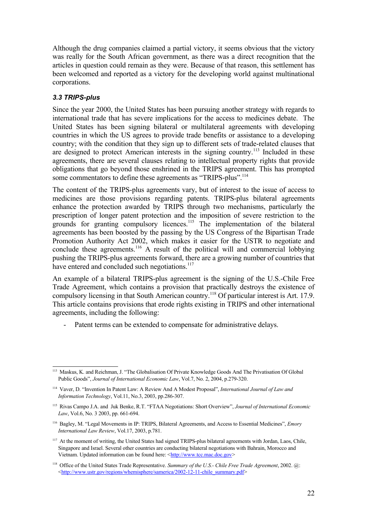Although the drug companies claimed a partial victory, it seems obvious that the victory was really for the South African government, as there was a direct recognition that the articles in question could remain as they were. Because of that reason, this settlement has been welcomed and reported as a victory for the developing world against multinational corporations.

#### *3.3 TRIPS-plus*

Since the year 2000, the United States has been pursuing another strategy with regards to international trade that has severe implications for the access to medicines debate. The United States has been signing bilateral or multilateral agreements with developing countries in which the US agrees to provide trade benefits or assistance to a developing country; with the condition that they sign up to different sets of trade-related clauses that are designed to protect American interests in the signing country.<sup>[113](#page-22-0)</sup> Included in these agreements, there are several clauses relating to intellectual property rights that provide obligations that go beyond those enshrined in the TRIPS agreement. This has prompted some commentators to define these agreements as "TRIPS-plus".<sup>[114](#page-22-1)</sup>

The content of the TRIPS-plus agreements vary, but of interest to the issue of access to medicines are those provisions regarding patents. TRIPS-plus bilateral agreements enhance the protection awarded by TRIPS through two mechanisms, particularly the prescription of longer patent protection and the imposition of severe restriction to the grounds for granting compulsory licences.<sup>[115](#page-22-2)</sup> The implementation of the bilateral agreements has been boosted by the passing by the US Congress of the Bipartisan Trade Promotion Authority Act 2002, which makes it easier for the USTR to negotiate and conclude these agreements.<sup>[116](#page-22-3)</sup> A result of the political will and commercial lobbying pushing the TRIPS-plus agreements forward, there are a growing number of countries that have entered and concluded such negotiations.<sup>[117](#page-22-4)</sup>

An example of a bilateral TRIPS-plus agreement is the signing of the U.S.-Chile Free Trade Agreement, which contains a provision that practically destroys the existence of compulsory licensing in that South American country.<sup>[118](#page-22-5)</sup> Of particular interest is Art. 17.9. This article contains provisions that erode rights existing in TRIPS and other international agreements, including the following:

Patent terms can be extended to compensate for administrative delays.

<span id="page-22-0"></span><sup>113</sup> Maskus, K. and Reichman, J. "The Globalisation Of Private Knowledge Goods And The Privatisation Of Global Public Goods", *Journal of International Economic Law*, Vol.7, No. 2, 2004, p.279-320.

<span id="page-22-1"></span><sup>114</sup> Vaver, D. "Invention In Patent Law: A Review And A Modest Proposal", *International Journal of Law and Information Technology*, Vol.11, No.3, 2003, pp.286-307.

<span id="page-22-2"></span><sup>115</sup> Rivas Campo J.A. and Juk Benke, R.T. "FTAA Negotiations: Short Overview", *Journal of International Economic Law*, Vol.6, No. 3 2003, pp. 661-694.

<span id="page-22-3"></span><sup>116</sup> Bagley, M. "Legal Movements in IP: TRIPS, Bilateral Agreements, and Access to Essential Medicines", *Emory International Law Review*, Vol.17, 2003, p.781.

<span id="page-22-4"></span><sup>&</sup>lt;sup>117</sup> At the moment of writing, the United States had signed TRIPS-plus bilateral agreements with Jordan, Laos, Chile, Singapore and Israel. Several other countries are conducting bilateral negotiations with Bahrain, Morocco and Vietnam. Updated information can be found here: <[http://www.tcc.mac.doc.gov](http://www.tcc.mac.doc.gov/)>

<span id="page-22-5"></span><sup>118</sup> Office of the United States Trade Representative. *Summary of the U.S.- Chile Free Trade Agreement*, 2002. @: <[http://www.ustr.gov/regions/whemisphere/samerica/2002-12-11-chile\\_summary.pdf>](http://www.ustr.gov/regions/whemisphere/samerica/2002-12-11-chile_summary.pdf)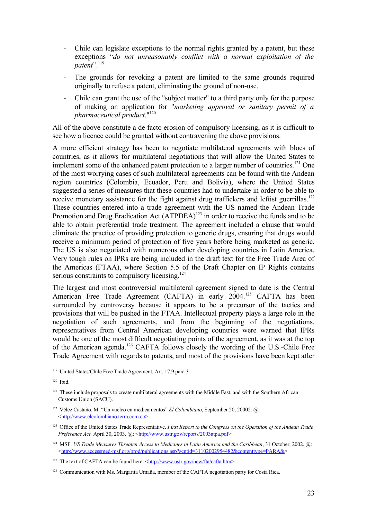- Chile can legislate exceptions to the normal rights granted by a patent, but these exceptions "*do not unreasonably conflict with a normal exploitation of the patent*". [119](#page-23-0)
- The grounds for revoking a patent are limited to the same grounds required originally to refuse a patent, eliminating the ground of non-use.
- Chile can grant the use of the "subject matter" to a third party only for the purpose of making an application for "*marketing approval or sanitary permit of a pharmaceutical product*." [120](#page-23-1)

All of the above constitute a de facto erosion of compulsory licensing, as it is difficult to see how a licence could be granted without contravening the above provisions.

A more efficient strategy has been to negotiate multilateral agreements with blocs of countries, as it allows for multilateral negotiations that will allow the United States to implement some of the enhanced patent protection to a larger number of countries.<sup>[121](#page-23-2)</sup> One of the most worrying cases of such multilateral agreements can be found with the Andean region countries (Colombia, Ecuador, Peru and Bolivia), where the United States suggested a series of measures that these countries had to undertake in order to be able to receive monetary assistance for the fight against drug traffickers and leftist guerrillas.<sup>[122](#page-23-3)</sup> These countries entered into a trade agreement with the US named the Andean Trade Promotion and Drug Eradication Act (ATPDEA)<sup>[123](#page-23-4)</sup> in order to receive the funds and to be able to obtain preferential trade treatment. The agreement included a clause that would eliminate the practice of providing protection to generic drugs, ensuring that drugs would receive a minimum period of protection of five years before being marketed as generic. The US is also negotiated with numerous other developing countries in Latin America. Very tough rules on IPRs are being included in the draft text for the Free Trade Area of the Americas (FTAA), where Section 5.5 of the Draft Chapter on IP Rights contains serious constraints to compulsory licensing.<sup>[124](#page-23-5)</sup>

The largest and most controversial multilateral agreement signed to date is the Central American Free Trade Agreement (CAFTA) in early 2004.<sup>[125](#page-23-6)</sup> CAFTA has been surrounded by controversy because it appears to be a precursor of the tactics and provisions that will be pushed in the FTAA. Intellectual property plays a large role in the negotiation of such agreements, and from the beginning of the negotiations, representatives from Central American developing countries were warned that IPRs would be one of the most difficult negotiating points of the agreement, as it was at the top of the American agenda.<sup>[126](#page-23-7)</sup> CAFTA follows closely the wording of the U.S.-Chile Free Trade Agreement with regards to patents, and most of the provisions have been kept after

<span id="page-23-0"></span><sup>119</sup> United States/Chile Free Trade Agreement, Art. 17.9 para 3.

<span id="page-23-1"></span><sup>120</sup> Ibid.

<span id="page-23-2"></span><sup>&</sup>lt;sup>121</sup> These include proposals to create multilateral agreements with the Middle East, and with the Southern African Customs Union (SACU).

<span id="page-23-3"></span><sup>122</sup> Vélez Castaño, M. "Un vuelco en medicamentos" *El Colombiano*, September 20, 20002. @: <[http://www.elcolombiano.terra.com.co>](http://www.elcolombiano.terra.com.co/)

<span id="page-23-4"></span><sup>123</sup> Office of the United States Trade Representative. *First Report to the Congress on the Operation of the Andean Trade Preference Act, April 30, 2003. @:* <**<http://www.ustr.gov/reports/2003atpa.pdf>>** 

<span id="page-23-5"></span><sup>124</sup> MSF. *US Trade Measures Threaten Access to Medicines in Latin America and the Caribbean*, 31 October, 2002. @: <[http://www.accessmed-msf.org/prod/publications.asp?scntid=31102002954482&contenttype=PARA&>](http://www.accessmed-msf.org/prod/publications.asp?scntid=31102002954482&contenttype=PARA&)

<span id="page-23-6"></span><sup>&</sup>lt;sup>125</sup> The text of CAFTA can be found here:  $\frac{\text{http://www.ustr.gov/news/fta/cafta.htm}}{}$ 

<span id="page-23-7"></span><sup>&</sup>lt;sup>126</sup> Communication with Ms. Margarita Umaña, member of the CAFTA negotiation party for Costa Rica.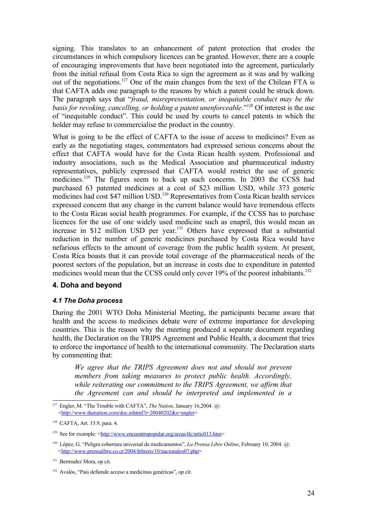signing. This translates to an enhancement of patent protection that erodes the circumstances in which compulsory licences can be granted. However, there are a couple of encouraging improvements that have been negotiated into the agreement, particularly from the initial refusal from Costa Rica to sign the agreement as it was and by walking out of the negotiations.<sup>[127](#page-24-0)</sup> One of the main changes from the text of the Chilean FTA is that CAFTA adds one paragraph to the reasons by which a patent could be struck down. The paragraph says that "*fraud, misrepresentation, or inequitable conduct may be the basis for revoking, cancelling, or holding a patent unenforceable*." [128](#page-24-1) Of interest is the use of "inequitable conduct". This could be used by courts to cancel patents in which the holder may refuse to commercialise the product in the country.

What is going to be the effect of CAFTA to the issue of access to medicines? Even as early as the negotiating stages, commentators had expressed serious concerns about the effect that CAFTA would have for the Costa Rican health system. Professional and industry associations, such as the Medical Association and pharmaceutical industry representatives, publicly expressed that CAFTA would restrict the use of generic medicines.<sup>[129](#page-24-2)</sup> The figures seem to back up such concerns. In 2003 the CCSS had purchased 63 patented medicines at a cost of \$23 million USD, while 373 generic medicines had cost \$47 million USD.<sup>[130](#page-24-3)</sup> Representatives from Costa Rican health services expressed concern that any change in the current balance would have tremendous effects to the Costa Rican social health programmes. For example, if the CCSS has to purchase licences for the use of one widely used medicine such as enapril, this would mean an increase in \$12 million USD per year.<sup>[131](#page-24-4)</sup> Others have expressed that a substantial reduction in the number of generic medicines purchased by Costa Rica would have nefarious effects to the amount of coverage from the public health system. At present, Costa Rica boasts that it can provide total coverage of the pharmaceutical needs of the poorest sectors of the population, but an increase in costs due to expenditure in patented medicines would mean that the CCSS could only cover 19% of the poorest inhabitants.<sup>[132](#page-24-5)</sup>

#### **4. Doha and beyond**

#### *4.1 The Doha process*

During the 2001 WTO Doha Ministerial Meeting, the participants became aware that health and the access to medicines debate were of extreme importance for developing countries. This is the reason why the meeting produced a separate document regarding health, the Declaration on the TRIPS Agreement and Public Health, a document that tries to enforce the importance of health to the international community. The Declaration starts by commenting that:

*We agree that the TRIPS Agreement does not and should not prevent members from taking measures to protect public health. Accordingly, while reiterating our commitment to the TRIPS Agreement, we affirm that the Agreement can and should be interpreted and implemented in a*

<span id="page-24-0"></span><sup>127</sup> Engler, M. "The Trouble with CAFTA", *The Nation*, January 16,2004. @: <[http://www.thenation.com/doc.mhtml?i=20040202&s=engler>](http://www.thenation.com/doc.mhtml?i=20040202&s=engler)

<span id="page-24-1"></span><sup>128</sup> CAFTA, Art. 15.9, para. 4.

<span id="page-24-2"></span><sup>&</sup>lt;sup>129</sup> See for example: [<http://www.encuentropopular.org/areas/tlc/artic013.htm](http://www.encuentropopular.org/areas/tlc/artic013.htm)>

<span id="page-24-3"></span><sup>130</sup> López, G. "Peligra cobertura universal de medicamentos", *La Prensa Libre Online*, February 10, 2004. @: <<http://www.prensalibre.co.cr/2004/febrero/10/nacionales07.php>>

<span id="page-24-4"></span><sup>131</sup> Bermudez Mora, op cit.

<span id="page-24-5"></span><sup>132</sup> Avalós, "País defiende acceso a medicinas genéricas", op cit.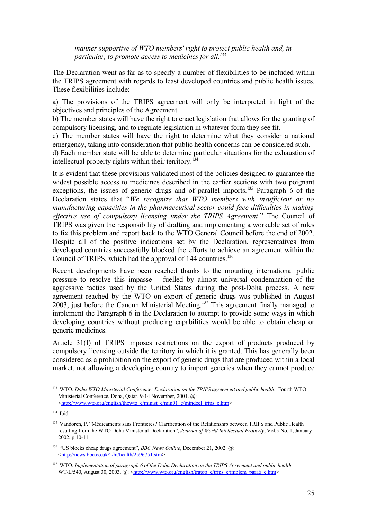*manner supportive of WTO members' right to protect public health and, in particular, to promote access to medicines for all. [133](#page-25-0)*

The Declaration went as far as to specify a number of flexibilities to be included within the TRIPS agreement with regards to least developed countries and public health issues. These flexibilities include:

a) The provisions of the TRIPS agreement will only be interpreted in light of the objectives and principles of the Agreement.

b) The member states will have the right to enact legislation that allows for the granting of compulsory licensing, and to regulate legislation in whatever form they see fit.

c) The member states will have the right to determine what they consider a national emergency, taking into consideration that public health concerns can be considered such.

d) Each member state will be able to determine particular situations for the exhaustion of intellectual property rights within their territory. [134](#page-25-1)

It is evident that these provisions validated most of the policies designed to guarantee the widest possible access to medicines described in the earlier sections with two poignant exceptions, the issues of generic drugs and of parallel imports.<sup>[135](#page-25-2)</sup> Paragraph 6 of the Declaration states that "*We recognize that WTO members with insufficient or no manufacturing capacities in the pharmaceutical sector could face difficulties in making effective use of compulsory licensing under the TRIPS Agreement*." The Council of TRIPS was given the responsibility of drafting and implementing a workable set of rules to fix this problem and report back to the WTO General Council before the end of 2002. Despite all of the positive indications set by the Declaration, representatives from developed countries successfully blocked the efforts to achieve an agreement within the Council of TRIPS, which had the approval of 144 countries. [136](#page-25-3)

Recent developments have been reached thanks to the mounting international public pressure to resolve this impasse – fuelled by almost universal condemnation of the aggressive tactics used by the United States during the post-Doha process. A new agreement reached by the WTO on export of generic drugs was published in August 2003, just before the Cancun Ministerial Meeting.<sup>[137](#page-25-4)</sup> This agreement finally managed to implement the Paragraph 6 in the Declaration to attempt to provide some ways in which developing countries without producing capabilities would be able to obtain cheap or generic medicines.

Article 31(f) of TRIPS imposes restrictions on the export of products produced by compulsory licensing outside the territory in which it is granted. This has generally been considered as a prohibition on the export of generic drugs that are produced within a local market, not allowing a developing country to import generics when they cannot produce

<span id="page-25-0"></span><sup>133</sup> WTO. *Doha WTO Ministerial Conference: Declaration on the TRIPS agreement and public health*. Fourth WTO Ministerial Conference, Doha, Qatar. 9-14 November, 2001. @: <[http://www.wto.org/english/thewto\\_e/minist\\_e/min01\\_e/mindecl\\_trips\\_e.htm>](http://www.wto.org/english/thewto_e/minist_e/min01_e/mindecl_trips_e.htm)

<span id="page-25-1"></span><sup>134</sup> Ibid.

<span id="page-25-2"></span><sup>&</sup>lt;sup>135</sup> Vandoren, P. "Médicaments sans Frontiéres? Clarification of the Relationship between TRIPS and Public Health resulting from the WTO Doha Ministerial Declaration", *Journal of World Intellectual Property*, Vol.5 No. 1, January 2002, p.10-11.

<span id="page-25-3"></span><sup>136</sup> "US blocks cheap drugs agreement", *BBC News Online*, December 21, 2002. @: <[http://news.bbc.co.uk/2/hi/health/2596751.stm>](http://news.bbc.co.uk/2/hi/health/2596751.stm)

<span id="page-25-4"></span><sup>137</sup> WTO. *Implementation of paragraph 6 of the Doha Declaration on the TRIPS Agreement and public health*. WT/L/540, August 30, 2003. @: [<http://www.wto.org/english/tratop\\_e/trips\\_e/implem\\_para6\\_e.htm>](http://www.wto.org/english/tratop_e/trips_e/implem_para6_e.htm)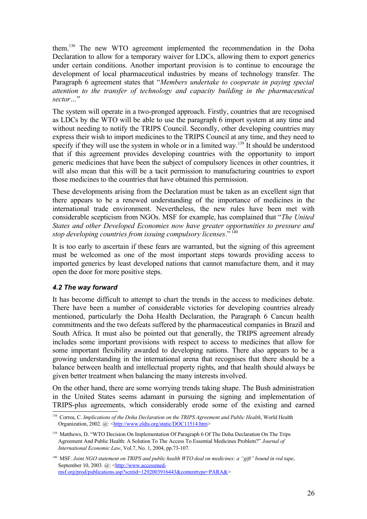them. [138](#page-26-0) The new WTO agreement implemented the recommendation in the Doha Declaration to allow for a temporary waiver for LDCs, allowing them to export generics under certain conditions. Another important provision is to continue to encourage the development of local pharmaceutical industries by means of technology transfer. The Paragraph 6 agreement states that "*Members undertake to cooperate in paying special attention to the transfer of technology and capacity building in the pharmaceutical sector…*"

The system will operate in a two-pronged approach. Firstly, countries that are recognised as LDCs by the WTO will be able to use the paragraph 6 import system at any time and without needing to notify the TRIPS Council. Secondly, other developing countries may express their wish to import medicines to the TRIPS Council at any time, and they need to specify if they will use the system in whole or in a limited way.<sup>[139](#page-26-1)</sup> It should be understood that if this agreement provides developing countries with the opportunity to import generic medicines that have been the subject of compulsory licences in other countries, it will also mean that this will be a tacit permission to manufacturing countries to export those medicines to the countries that have obtained this permission.

These developments arising from the Declaration must be taken as an excellent sign that there appears to be a renewed understanding of the importance of medicines in the international trade environment. Nevertheless, the new rules have been met with considerable scepticism from NGOs. MSF for example, has complained that "*The United States and other Developed Economies now have greater opportunities to pressure and stop developing countries from issuing compulsory licenses*." [140](#page-26-2)

It is too early to ascertain if these fears are warranted, but the signing of this agreement must be welcomed as one of the most important steps towards providing access to imported generics by least developed nations that cannot manufacture them, and it may open the door for more positive steps.

#### *4.2 The way forward*

It has become difficult to attempt to chart the trends in the access to medicines debate. There have been a number of considerable victories for developing countries already mentioned, particularly the Doha Health Declaration, the Paragraph 6 Cancun health commitments and the two defeats suffered by the pharmaceutical companies in Brazil and South Africa. It must also be pointed out that generally, the TRIPS agreement already includes some important provisions with respect to access to medicines that allow for some important flexibility awarded to developing nations. There also appears to be a growing understanding in the international arena that recognises that there should be a balance between health and intellectual property rights, and that health should always be given better treatment when balancing the many interests involved.

On the other hand, there are some worrying trends taking shape. The Bush administration in the United States seems adamant in pursuing the signing and implementation of TRIPS-plus agreements, which considerably erode some of the existing and earned

<span id="page-26-0"></span><sup>138</sup> Correa, C. *Implications of the Doha Declaration on the TRIPS Agreement and Public Health*, World Health Organization, 2002. @: [<http://www.eldis.org/static/DOC11514.htm>](http://www.eldis.org/static/DOC11514.htm)

<span id="page-26-1"></span><sup>&</sup>lt;sup>139</sup> Matthews, D. "WTO Decision On Implementation Of Paragraph 6 Of The Doha Declaration On The Trips Agreement And Public Health: A Solution To The Access To Essential Medicines Problem?" *Journal of International Economic Law*, Vol.7, No. 1, 2004, pp.73-107.

<span id="page-26-2"></span> $140$  MSF, Joint NGO statement on TRIPS and public health WTO deal on medicines: a "gift" bound in red tape, September 10, 2003. @: <[http://www.accessmed](http://www.accessmed-msf.org/prod/publications.asp?scntid=1292003916443&contenttype=PARA&)[msf.org/prod/publications.asp?scntid=1292003916443&contenttype=PARA&](http://www.accessmed-msf.org/prod/publications.asp?scntid=1292003916443&contenttype=PARA&)>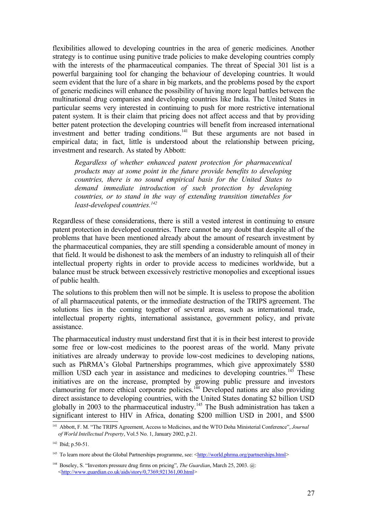flexibilities allowed to developing countries in the area of generic medicines. Another strategy is to continue using punitive trade policies to make developing countries comply with the interests of the pharmaceutical companies. The threat of Special 301 list is a powerful bargaining tool for changing the behaviour of developing countries. It would seem evident that the lure of a share in big markets, and the problems posed by the export of generic medicines will enhance the possibility of having more legal battles between the multinational drug companies and developing countries like India. The United States in particular seems very interested in continuing to push for more restrictive international patent system. It is their claim that pricing does not affect access and that by providing better patent protection the developing countries will benefit from increased international investment and better trading conditions.<sup>[141](#page-27-0)</sup> But these arguments are not based in empirical data; in fact, little is understood about the relationship between pricing, investment and research. As stated by Abbott:

*Regardless of whether enhanced patent protection for pharmaceutical products may at some point in the future provide benefits to developing countries, there is no sound empirical basis for the United States to demand immediate introduction of such protection by developing countries, or to stand in the way of extending transition timetables for least-developed countries. [142](#page-27-1)*

Regardless of these considerations, there is still a vested interest in continuing to ensure patent protection in developed countries. There cannot be any doubt that despite all of the problems that have been mentioned already about the amount of research investment by the pharmaceutical companies, they are still spending a considerable amount of money in that field. It would be dishonest to ask the members of an industry to relinquish all of their intellectual property rights in order to provide access to medicines worldwide, but a balance must be struck between excessively restrictive monopolies and exceptional issues of public health.

The solutions to this problem then will not be simple. It is useless to propose the abolition of all pharmaceutical patents, or the immediate destruction of the TRIPS agreement. The solutions lies in the coming together of several areas, such as international trade, intellectual property rights, international assistance, government policy, and private assistance.

The pharmaceutical industry must understand first that it is in their best interest to provide some free or low-cost medicines to the poorest areas of the world. Many private initiatives are already underway to provide low-cost medicines to developing nations, such as PhRMA's Global Partnerships programmes, which give approximately \$580 million USD each year in assistance and medicines to developing countries.<sup>[143](#page-27-2)</sup> These initiatives are on the increase, prompted by growing public pressure and investors clamouring for more ethical corporate policies.<sup>[144](#page-27-3)</sup> Developed nations are also providing direct assistance to developing countries, with the United States donating \$2 billion USD globally in 2003 to the pharmaceutical industry.<sup>[145](#page-28-0)</sup> The Bush administration has taken a significant interest to HIV in Africa, donating \$200 million USD in 2001, and \$500

<span id="page-27-0"></span><sup>141</sup> Abbott, F. M. "The TRIPS Agreement, Access to Medicines, and the WTO Doha Ministerial Conference", *Journal of World Intellectual Property*, Vol.5 No. 1, January 2002, p.21.

<span id="page-27-1"></span> $142$  Ibid; p.50-51.

<span id="page-27-2"></span><sup>&</sup>lt;sup>143</sup> To learn more about the Global Partnerships programme, see: [<http://world.phrma.org/partnerships.html>](http://world.phrma.org/partnerships.html)

<span id="page-27-3"></span><sup>144</sup> Boseley, S. "Investors pressure drug firms on pricing", *The Guardian*, March 25, 2003. @: <[http://www.guardian.co.uk/aids/story/0,7369,921361,00.html>](http://www.guardian.co.uk/aids/story/0,7369,921361,00.html)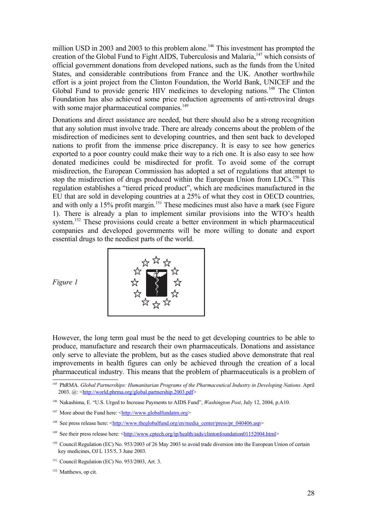million USD in 2003 and 2003 to this problem alone.<sup>[146](#page-28-1)</sup> This investment has prompted the creation of the Global Fund to Fight AIDS, Tuberculosis and Malaria,<sup>[147](#page-28-2)</sup> which consists of official government donations from developed nations, such as the funds from the United States, and considerable contributions from France and the UK. Another worthwhile effort is a joint project from the Clinton Foundation, the World Bank, UNICEF and the Global Fund to provide generic HIV medicines to developing nations.<sup>[148](#page-28-3)</sup> The Clinton Foundation has also achieved some price reduction agreements of anti-retroviral drugs with some major pharmaceutical companies.<sup>[149](#page-28-4)</sup>

Donations and direct assistance are needed, but there should also be a strong recognition that any solution must involve trade. There are already concerns about the problem of the misdirection of medicines sent to developing countries, and then sent back to developed nations to profit from the immense price discrepancy. It is easy to see how generics exported to a poor country could make their way to a rich one. It is also easy to see how donated medicines could be misdirected for profit. To avoid some of the corrupt misdirection, the European Commission has adopted a set of regulations that attempt to stop the misdirection of drugs produced within the European Union from LDCs.<sup>[150](#page-28-5)</sup> This regulation establishes a "tiered priced product", which are medicines manufactured in the EU that are sold in developing countries at a 25% of what they cost in OECD countries, and with only a 15% profit margin.<sup>[151](#page-28-6)</sup> These medicines must also have a mark (see Figure 1). There is already a plan to implement similar provisions into the WTO's health system.<sup>[152](#page-28-7)</sup> These provisions could create a better environment in which pharmaceutical companies and developed governments will be more willing to donate and export essential drugs to the neediest parts of the world.



*Figure 1*

However, the long term goal must be the need to get developing countries to be able to produce, manufacture and research their own pharmaceuticals. Donations and assistance only serve to alleviate the problem, but as the cases studied above demonstrate that real improvements in health figures can only be achieved through the creation of a local pharmaceutical industry. This means that the problem of pharmaceuticals is a problem of

<span id="page-28-0"></span><sup>145</sup> PhRMA. *Global Partnerships: Humanitarian Programs of the Pharmaceutical Industry in Developing Nations*. April 2003. @: [<http://world.phrma.org/global.partnership.2003.pdf>](http://world.phrma.org/global.partnership.2003.pdf)

<span id="page-28-1"></span><sup>146</sup> Nakashima, E. "U.S. Urged to Increase Payments to AIDS Fund", *Washington Post*, July 12, 2004, p.A10.

<span id="page-28-2"></span><sup>&</sup>lt;sup>147</sup> More about the Fund here:  $\frac{\text{th}}{\text{t}}/(\text{www.globalfundatm.ore})$ 

<span id="page-28-3"></span><sup>&</sup>lt;sup>148</sup> See press release here: <[http://www.theglobalfund.org/en/media\\_center/press/pr\\_040406.asp>](http://www.theglobalfund.org/en/media_center/press/pr_040406.asp)

<span id="page-28-4"></span><sup>&</sup>lt;sup>149</sup> See their press release here:  $\frac{\text{http://www.cptech.org/p/health/aids/clintonfoundation01152004.html>}}{$ 

<span id="page-28-5"></span><sup>&</sup>lt;sup>150</sup> Council Regulation (EC) No. 953/2003 of 26 May 2003 to avoid trade diversion into the European Union of certain key medicines, OJ L 135/5, 3 June 2003.

<span id="page-28-6"></span><sup>151</sup> Council Regulation (EC) No. 953/2003, Art. 3.

<span id="page-28-7"></span><sup>&</sup>lt;sup>152</sup> Matthews, op cit.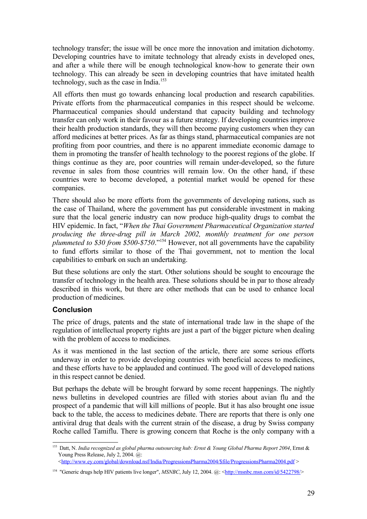technology transfer; the issue will be once more the innovation and imitation dichotomy. Developing countries have to imitate technology that already exists in developed ones, and after a while there will be enough technological know-how to generate their own technology. This can already be seen in developing countries that have imitated health technology, such as the case in India. [153](#page-29-0)

All efforts then must go towards enhancing local production and research capabilities. Private efforts from the pharmaceutical companies in this respect should be welcome. Pharmaceutical companies should understand that capacity building and technology transfer can only work in their favour as a future strategy. If developing countries improve their health production standards, they will then become paying customers when they can afford medicines at better prices. As far as things stand, pharmaceutical companies are not profiting from poor countries, and there is no apparent immediate economic damage to them in promoting the transfer of health technology to the poorest regions of the globe. If things continue as they are, poor countries will remain under-developed, so the future revenue in sales from those countries will remain low. On the other hand, if these countries were to become developed, a potential market would be opened for these companies.

There should also be more efforts from the governments of developing nations, such as the case of Thailand, where the government has put considerable investment in making sure that the local generic industry can now produce high-quality drugs to combat the HIV epidemic. In fact, "*When the Thai Government Pharmaceutical Organization started producing the three-drug pill in March 2002, monthly treatment for one person plummeted to \$30 from \$500-\$750*." [154](#page-29-1) However, not all governments have the capability to fund efforts similar to those of the Thai government, not to mention the local capabilities to embark on such an undertaking.

But these solutions are only the start. Other solutions should be sought to encourage the transfer of technology in the health area. These solutions should be in par to those already described in this work, but there are other methods that can be used to enhance local production of medicines.

#### **Conclusion**

The price of drugs, patents and the state of international trade law in the shape of the regulation of intellectual property rights are just a part of the bigger picture when dealing with the problem of access to medicines.

As it was mentioned in the last section of the article, there are some serious efforts underway in order to provide developing countries with beneficial access to medicines, and these efforts have to be applauded and continued. The good will of developed nations in this respect cannot be denied.

But perhaps the debate will be brought forward by some recent happenings. The nightly news bulletins in developed countries are filled with stories about avian flu and the prospect of a pandemic that will kill millions of people. But it has also brought one issue back to the table, the access to medicines debate. There are reports that there is only one antiviral drug that deals with the current strain of the disease, a drug by Swiss company Roche called Tamiflu. There is growing concern that Roche is the only company with a

<span id="page-29-0"></span><sup>153</sup> Datt, N. *India recognized as global pharma outsourcing hub: Ernst & Young Global Pharma Report 2004*, Ernst & Young Press Release, July 2, 2004. @:

<sup>&</sup>lt;[http://www.ey.com/global/download.nsf/India/ProgressionsPharma2004/\\$file/ProgressionsPharma2004.pdf](http://www.ey.com/global/download.nsf/India/ProgressionsPharma2004/$file/ProgressionsPharma2004.pdf) >

<span id="page-29-1"></span><sup>&</sup>lt;sup>154</sup> "Generic drugs help HIV patients live longer", *MSNBC*, July 12, 2004. @: <**[http://msnbc.msn.com/id/5422798/>](http://msnbc.msn.com/id/5422798/)**